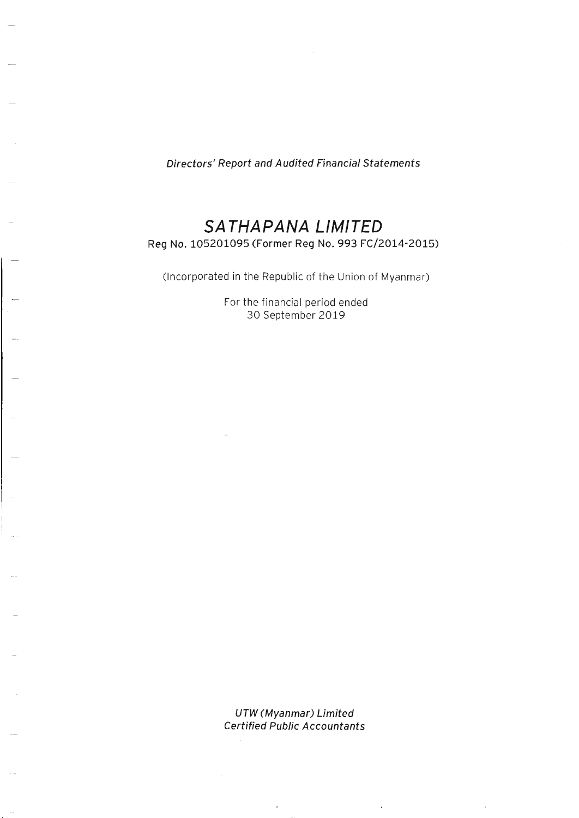Directors' Report and Audited Financial Statements

# SATHAPANA LIMITED Reg No. 105201095 (Former Reg No. 993 FC(2OL4-2OL5)

(lncorporated in the Republic of the Union of Myanmar)

For the financial period ended 30 September 2079

UTW (Myanmar) Limited Certified Public Accountants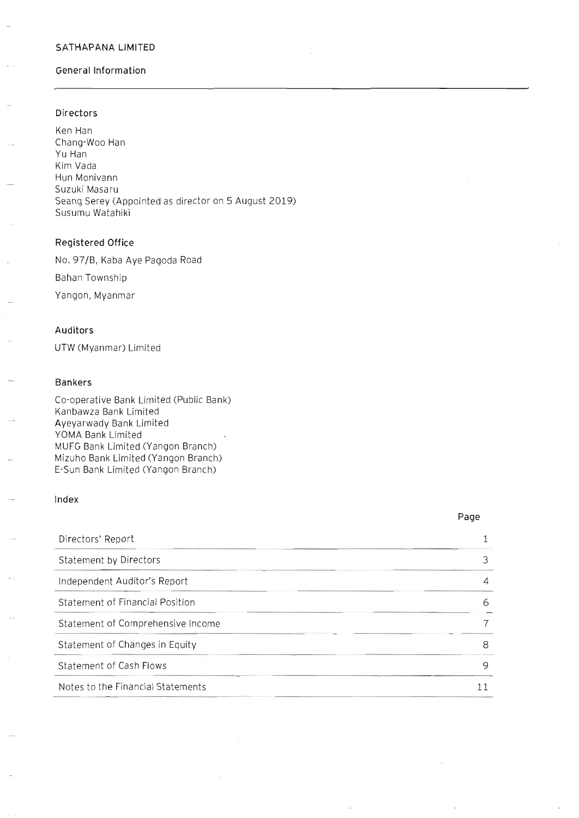## General lnformation

## Directors

Ken Han Chang-Woo Han Yu Han Kim Vada Hun Monivann Suzuki Masaru Seang Serey (Appointed as director on 5 August 2019) Susumu Watahiki

## Registered Office

No. 9718, Kaba Aye Pagoda Road

Bahan Township

Yangon, Myanmar

## Auditors

UTW (Myanmar) Limited

### Bankers

Co-operative Bank Limited (Public Bank) Kanbawza Bank Limited Ayeyarwady Bank Limited YOMA Bank Limited MUFG Bank Limited (Yangon Branch) Mizuho Bank Limited (Yangon Branch) E-Sun Bank Limited (Yangon Branch)

## lndex

## Page

| Directors' Report                 |   |
|-----------------------------------|---|
| Statement by Directors            |   |
| Independent Auditor's Report      |   |
| Statement of Financial Position   | 6 |
| Statement of Comprehensive Income |   |
| Statement of Changes in Equity    | 8 |
| Statement of Cash Flows           | 9 |
| Notes to the Financial Statements |   |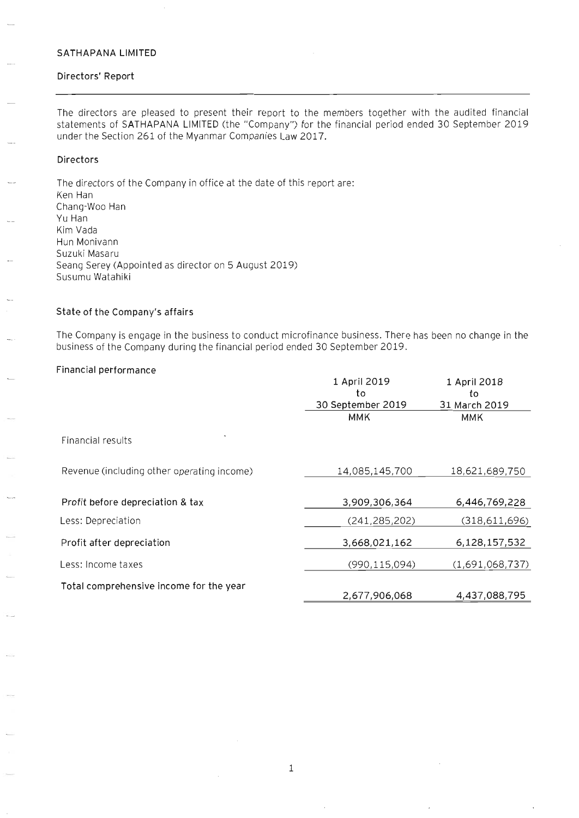## Directors' Report

The directors are pleased to present their report to the members together with the audited financial statements of SATHAPANA LIMITED (the "Company") for the financial period ended 30 September 2019 under the Section 261 of the Myanmar Companies Law 2017.

## Directors

The directors of the Company in office at the date of this report are: Ken Han Chang-Woo Han Yu Han Kim Vada Hun Monivann Suzuki Masaru Seang Serey (Appointed as director on 5 August 2019) Susumu Watahiki

## State of the Company's affairs

The Company is engage in the business to conduct microfinance business. There has been no change in the business of the Company during the financial period ended 3O September 2019.

## Financial performance

|                                            | 1 April 2019<br>to<br>30 September 2019<br><b>MMK</b> | 1 April 2018<br>to<br>31 March 2019<br>ммк |
|--------------------------------------------|-------------------------------------------------------|--------------------------------------------|
| Financial results                          |                                                       |                                            |
| Revenue (including other operating income) | 14,085,145,700                                        | 18,621,689,750                             |
| Profit before depreciation & tax           | 3,909,306,364                                         | 6,446,769,228                              |
| Less: Depreciation                         | (241, 285, 202)                                       | (318,611,696)                              |
| Profit after depreciation                  | 3,668,021,162                                         | 6,128,157,532                              |
| Less: Income taxes                         | (990, 115, 094)                                       | (1,691,068,737)                            |
| Total comprehensive income for the year    | 2,677,906,068                                         | 4,437,088,795                              |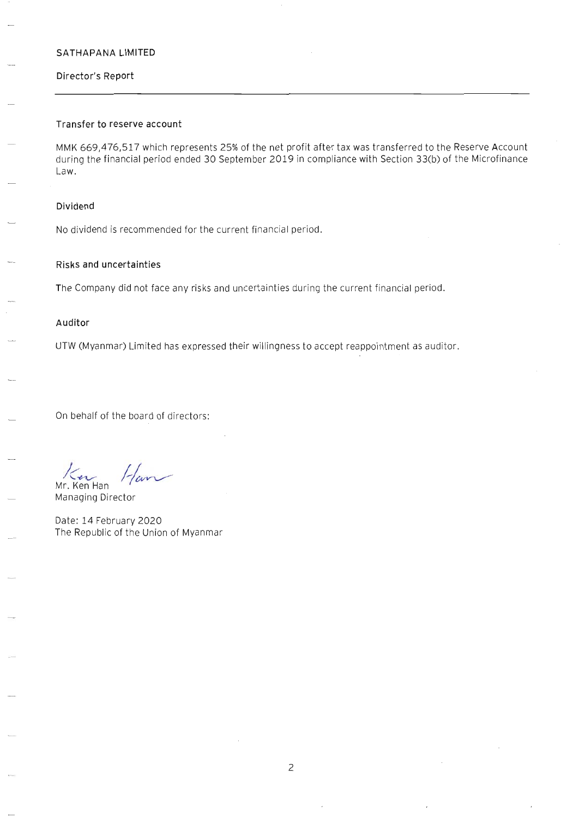## Director's Report

## Transfer to reserve account

MMK669,476,577 which represents 25% of the net profit after tax was transferred to the Reserve Account during the financial period ended 30 September 2019 in compliance with Section 33(b) of the Microfinance Law.

## Dividend

No dividend is recommended for the current financial period.

## Risks and uncertainties

The Company did not face any risks and uncertainties during the current financial period.

### Auditor

UTW (Myanmar) Limited has expressed their willingness to accept reappointment as auditor.

On behalf of the board of directors:

 $\frac{1}{\pi}$  /- $\frac{1}{\pi}$ 

Managing Director

Date: 14 February 2020 The Republic of the Union of Myanmar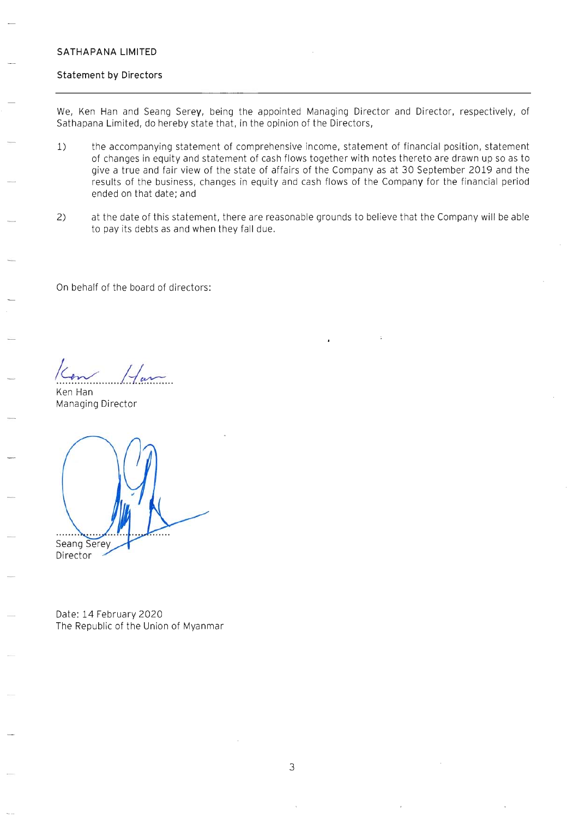## Statement by Directors

We, Ken Han and Seang Serey, being the appointed Managing Director and Director, respectively, of Sathapana Limited, do hereby state that, in the opinion of the Directors,

- 1) the accompanying statement of comprehensive income, statement of financial position, statement of changes in equity and statement of cash flows together with notes thereto are drawn up so as to give a true and fair view of the state of affairs of the Company as at 30 September 2019 and the results of the business, changes in equity and cash flows of the Company for the financial period ended on that date; and
- 2) at the date of this statement, there are reasonable grounds to believe that the Company will be able to pay its debts as and when they fall due.

On behalf of the board of directors:

 $k$ -/

Ken Han Managing Director

Seang Serey Director

Date: 14 February 2020 The Republic of the Union of Myanmar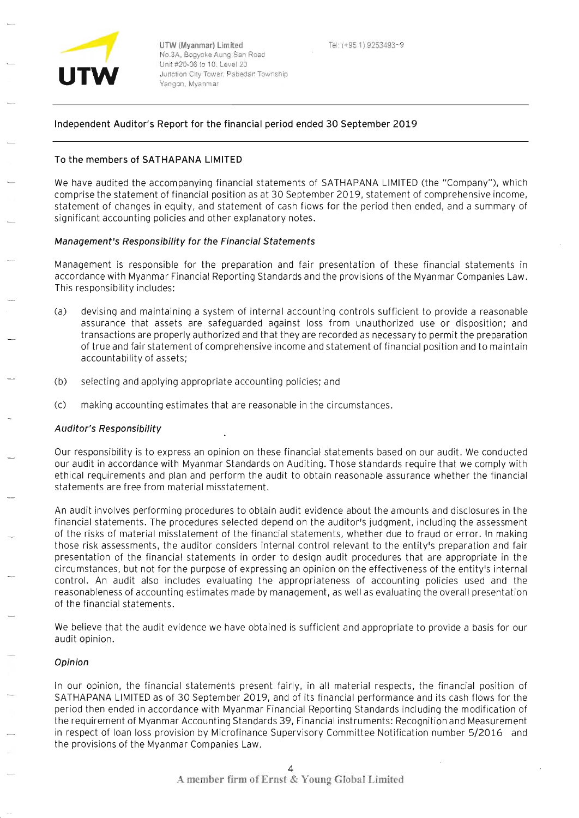

UTW (Myanmar) Limited No.3A, Bogyoke Aung San Road Unit #20-06 to 10, Level 20 Junction City Tower, Pabedan Township Yangon, Myanmar

## lndependent Auditor's Report for the financial period ended 30 Septembet 2Ol9

## To the members of SATHAPANA LIMITED

We have audited the accompanying financial statements of SATHAPANA LIMITED (the "Company"), which comprise the statement of financial position as at 30 September 2019, statement of comprehensive income, statement of changes in equity, and statement of cash flows for the period then ended, and a summary of significant accounting policies and other explanatory notes.

#### Management's Responsibility for the Financial Statements

Management is responsible for the preparation and fair presentation of these financial statements in accordance with Myanmar Financial Reporting Standards and the provisions of the Myanmar Companies Law. This responsibility includes:

- (a) devising and maintaining a system of internal accounting controls sufficient to provide a reasonable assurance that assets are safeguarded against loss from unauthorized use or disposition; and transactions are properly authorized and that they are recorded as necessary to permit the preparation of true and fair statement of comprehensive income and statement of financial position and to maintain accountability of assets;
- (b) selecting and applying appropriate accounting policies; and
- (c) making accounting estimates that are reasonable in the circumstances.

## Auditor's Responsibility

Our responsibility is to express an opinion on these financial statements based on our audit. We conducted our audit in accordance with Myanmar Standards on Auditing. Those standards require that we comply with ethical reguirements and plan and perform the audit to obtain reasonable assurance whether the financial statements are free from material misstatement.

An audit involves performing procedures to obtain audit evidence about the amounts and disclosures in the financial statements. The procedures selected depend on the auditor's judgment, including the assessment of the risks of material misstatement of the financial statements, whether due to fraud or error. ln making those risk assessments, the auditor considers internal control relevant to the entity's preparation and fair presentation of the financial statements in order to design audit procedures that are appropriate in the circumstances, but not for the purpose of expressing an opinion on the effectiveness of the entity's internal control. An audit also includes evaluating the appropriateness of accounting policies used and the reasonableness of accounting estimates made by management, as well as evaluating the overall presentation of the financial statements.

We believe that the audit evidence we have obtained is sufficient and appropriate to provide a basis for our audit opinion.

#### Opinion

ln our opinion, the financial statements present fairly, in all material respects, the financial position of SATHAPANA LIMITED as of 30 September 2019, and of its financial performance and its cash flows for the period then ended in accordance with Myanmar Financial Reporting Standards including the modification of the requirement of Myanmar Accounting Standards 39, Financial instruments: Recognition and Measurement in respect of loan loss provision by Microfinance Supervisory Committee Notification number 5/2016 and the provisions of the Myanmar Companies Law.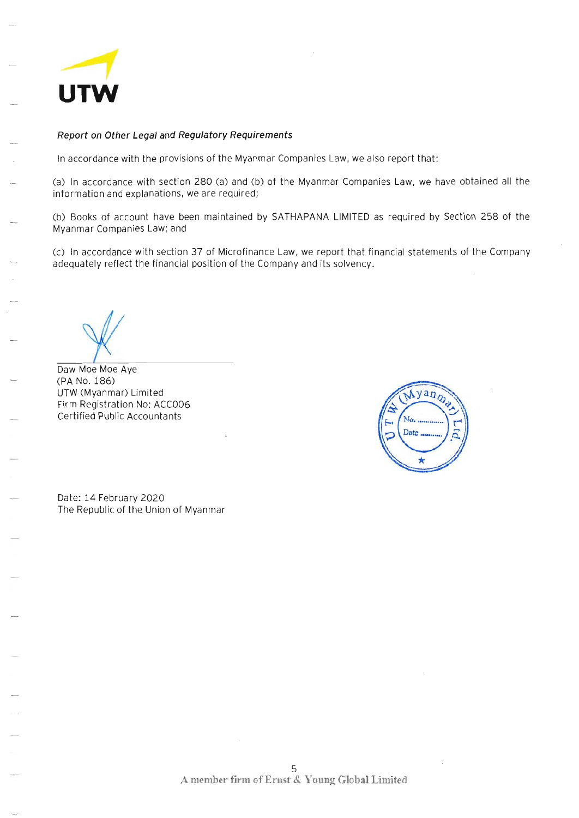

## Report on Other Leqal and Regulatory Requiremenfs

ln accordance with the provisions of the Myanmar Companies Law, we also report that:

(a) ln accordance with section 2BO (a) and (b) of the Myanmar Companies Law, we have obtained all the information and explanations, we are required;

(b) Books of account have been maintained by SATHAPANA LIMITED as required by Section 258 of the Myanmar Companies Law; and

(c) ln accordance with section 37 of Microfinance Law, we report that financial statements of the Company adequately reflect the financial position of the Company and its solvency.

Daw Moe Moe Aye (PA No. 186) UTW (Myanmar) Limited Firm Registration No: ACC005 Certified Public Accountants



Date: 14 February 2020 The Republic of the Union of Myanmar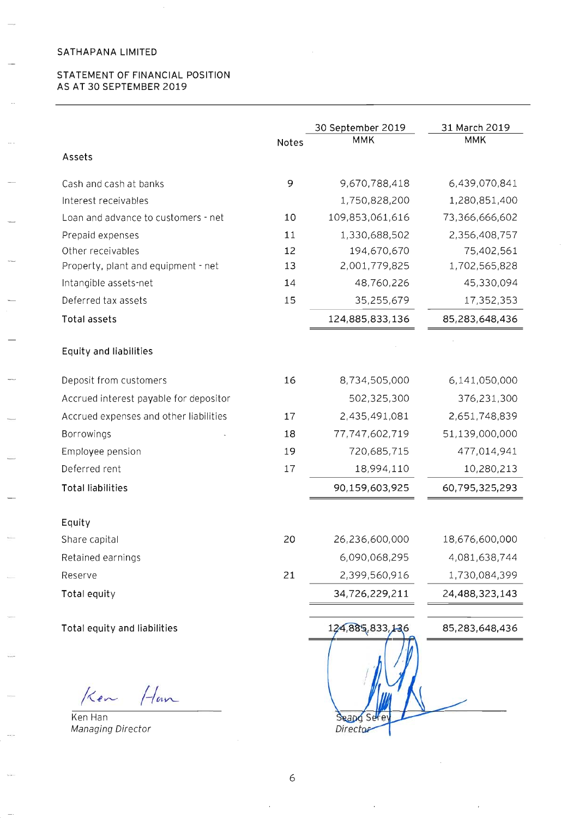## STATEMENT OF FINANCIAL POSITION AS AT 30 SEPTEMBER 2019

|                                         | Notes | 30 September 2019<br><b>MMK</b> | 31 March 2019<br><b>MMK</b> |
|-----------------------------------------|-------|---------------------------------|-----------------------------|
| Assets                                  |       |                                 |                             |
| Cash and cash at banks                  | 9     | 9,670,788,418                   | 6,439,070,841               |
| Interest receivables                    |       | 1,750,828,200                   | 1,280,851,400               |
| Loan and advance to customers - net     | 10    | 109,853,061,616                 | 73,366,666,602              |
| Prepaid expenses                        | 11    | 1,330,688,502                   | 2,356,408,757               |
| Other receivables                       | 12    | 194,670,670                     | 75,402,561                  |
| Property, plant and equipment - net     | 13    | 2,001,779,825                   | 1,702,565,828               |
| Intangible assets-net                   | 14    | 48,760,226                      | 45,330,094                  |
| Deferred tax assets                     | 15    | 35,255,679                      | 17,352,353                  |
| <b>Total assets</b>                     |       | 124,885,833,136                 | 85,283,648,436              |
| Equity and liabilities                  |       |                                 |                             |
| Deposit from customers                  | 16    | 8,734,505,000                   | 6,141,050,000               |
| Accrued interest payable for depositor  |       | 502,325,300                     | 376,231,300                 |
| Accrued expenses and other liabilities  | 17    | 2,435,491,081                   | 2,651,748,839               |
| <b>Borrowings</b>                       | 18    | 77,747,602,719                  | 51,139,000,000              |
| Employee pension                        | 19    | 720,685,715                     | 477,014,941                 |
| Deferred rent                           | 17    | 18,994,110                      | 10,280,213                  |
| <b>Total liabilities</b>                |       | 90,159,603,925                  | 60,795,325,293              |
| Equity                                  |       |                                 |                             |
| Share capital                           | 20    | 26,236,600,000                  | 18,676,600,000              |
| Retained earnings                       |       | 6,090,068,295                   | 4,081,638,744               |
| Reserve                                 | 21    | 2,399,560,916                   | 1,730,084,399               |
| Total equity                            |       | 34,726,229,211                  | 24,488,323,143              |
| Total equity and liabilities            |       | 124,885,833,136                 | 85,283,648,436              |
| Ken Han<br>Ken Han<br>Managing Director |       | Seapo Sere<br>Director          |                             |

6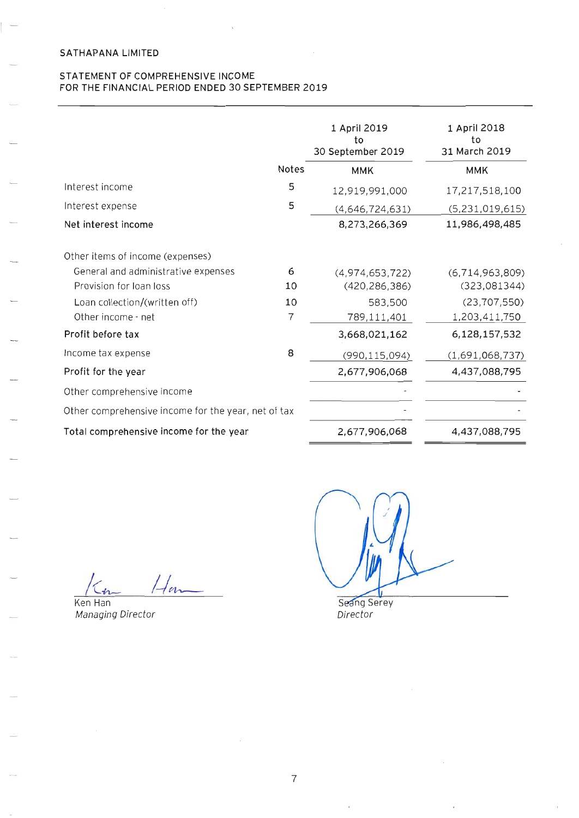## STATEMENT OF COMPREHENSIVE INCOME FOR THE FINANCIAL PERIOD ENDED 30 SEPTEMBER 2019

|                                                                                                    | <b>Notes</b> | 1 April 2019<br>to<br>30 September 2019<br><b>MMK</b> | 1 April 2018<br>to<br>31 March 2019<br><b>MMK</b> |
|----------------------------------------------------------------------------------------------------|--------------|-------------------------------------------------------|---------------------------------------------------|
| Interest income                                                                                    | 5            | 12,919,991,000                                        | 17,217,518,100                                    |
| Interest expense                                                                                   | 5            | (4,646,724,631)                                       | (5,231,019,615)                                   |
| Net interest income                                                                                |              | 8,273,266,369                                         | 11,986,498,485                                    |
| Other items of income (expenses)<br>General and administrative expenses<br>Provision for Ioan loss | 6<br>10      | (4,974,653,722)<br>(420, 286, 386)                    | (6,714,963,809)<br>(323,081344)                   |
| Loan collection/(written off)<br>Other income - net                                                | 10<br>7      | 583,500<br>789,111,401                                | (23, 707, 550)<br>1,203,411,750                   |
| Profit before tax                                                                                  |              | 3,668,021,162                                         | 6,128,157,532                                     |
| Income tax expense                                                                                 | 8            | (990,115,094)                                         | (1,691,068,737)                                   |
| Profit for the year                                                                                |              | 2,677,906,068                                         | 4,437,088,795                                     |
| Other comprehensive income                                                                         |              |                                                       |                                                   |
| Other comprehensive income for the year, net of tax                                                |              |                                                       |                                                   |
| Total comprehensive income for the year                                                            |              | 2,677,906,068                                         | 4,437,088,795                                     |

 $H_{\alpha}$ 

Ken Han Ken Han<br>Managing Director Managing Director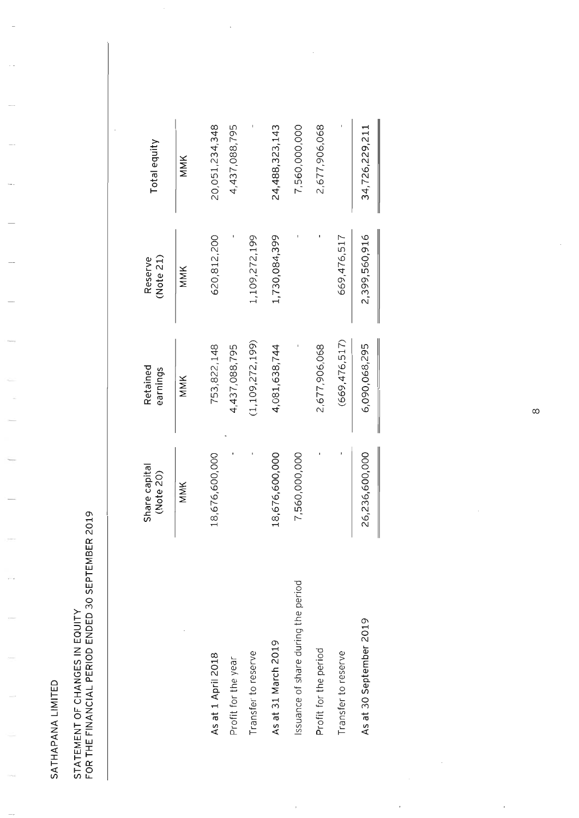2019 BER n<br>Tc lJJao EQUITY<br>ENDED 3 m<br>Zç NGES IN<br>PERIOL . LIMITED<br>OF CHAI<br>ANCIAL z z.i 고 뜻 ... T<br>E FI<br>E FI 9 si

 $\hat{\mathcal{L}}$ 

|                                    | Share capital<br>(Note 20) | Retained<br>earnings | (Note 21)<br>Reserve | Total equity   |
|------------------------------------|----------------------------|----------------------|----------------------|----------------|
|                                    | MMK                        | MMK                  | MMK                  | MMK            |
| As at 1 April 2018                 | 18,676,600,000             | 753,822,148          | 620,812,200          | 20,051,234,348 |
| Profit for the year                |                            | 4,437,088,795        |                      | 4,437,088,795  |
| Transfer to reserve                |                            | (1, 109, 272, 199)   | 1,109,272,199        |                |
| As at 31 March 2019                | 18,676,600,000             | 4,081,638,744        | 1,730,084,399        | 24,488,323,143 |
| ssuance of share during the period | 7,560,000,000              |                      |                      | 7,560,000,000  |
| Profit for the period              |                            | 2,677,906,068        |                      | 2,677,906,068  |
| Transfer to reserve                |                            | (669, 476, 517)      | 669,476,517          |                |
| As at 30 September 2019            | 26,236,600,000             | 6,090,068,295        | 2,399,560,916        | 34,726,229,211 |
|                                    |                            |                      |                      |                |

 $\infty$ 

l,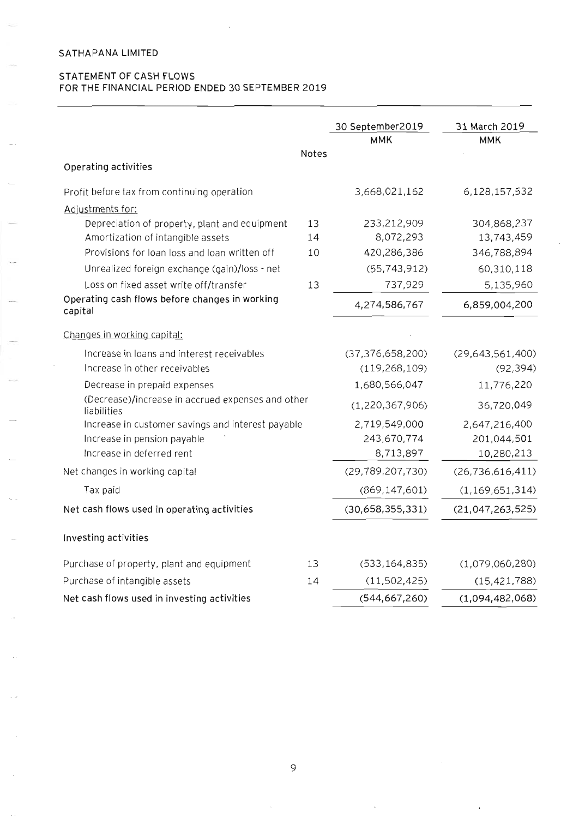## STATEMENT OF CASH FLOWS FOR THE FINANCIAL PERIOD ENDED 30 SEPTEMBER 2019

|                                                                                    |              | 30 September2019<br><b>MMK</b> | 31 March 2019<br><b>MMK</b> |
|------------------------------------------------------------------------------------|--------------|--------------------------------|-----------------------------|
|                                                                                    | <b>Notes</b> |                                |                             |
| Operating activities                                                               |              |                                |                             |
| Profit before tax from continuing operation                                        |              | 3,668,021,162                  | 6,128,157,532               |
| Adjustments for:                                                                   |              |                                |                             |
| Depreciation of property, plant and equipment<br>Amortization of intangible assets | 13<br>14     | 233,212,909<br>8,072,293       | 304,868,237<br>13,743,459   |
| Provisions for loan loss and loan written off                                      | 10           | 420,286,386                    | 346,788,894                 |
| Unrealized foreign exchange (gain)/loss - net                                      |              | (55, 743, 912)                 | 60,310,118                  |
| Loss on fixed asset write off/transfer                                             | 13           | 737,929                        | 5,135,960                   |
| Operating cash flows before changes in working                                     |              |                                |                             |
| capital                                                                            |              | 4,274,586,767                  | 6,859,004,200               |
| Changes in working capital:                                                        |              |                                |                             |
| Increase in loans and interest receivables                                         |              | (37, 376, 658, 200)            | (29, 643, 561, 400)         |
| Increase in other receivables                                                      |              | (119, 268, 109)                | (92, 394)                   |
| Decrease in prepaid expenses                                                       |              | 1,680,566,047                  | 11,776,220                  |
| (Decrease)/increase in accrued expenses and other<br>liabilities                   |              | (1, 220, 367, 906)             | 36,720,049                  |
| Increase in customer savings and interest payable                                  |              | 2,719,549,000                  | 2,647,216,400               |
| Increase in pension payable                                                        |              | 243,670,774                    | 201,044,501                 |
| Increase in deferred rent                                                          |              | 8,713,897                      | 10,280,213                  |
| Net changes in working capital                                                     |              | (29, 789, 207, 730)            | (26, 736, 616, 411)         |
| Tax paid                                                                           |              | (869, 147, 601)                | (1, 169, 651, 314)          |
| Net cash flows used in operating activities                                        |              | (30, 658, 355, 331)            | (21, 047, 263, 525)         |
| Investing activities                                                               |              |                                |                             |
| Purchase of property, plant and equipment                                          | 13           | (533, 164, 835)                | (1,079,060,280)             |
| Purchase of intangible assets                                                      | 14           | (11,502,425)                   | (15, 421, 788)              |
| Net cash flows used in investing activities                                        |              | (544, 667, 260)                | (1,094,482,068)             |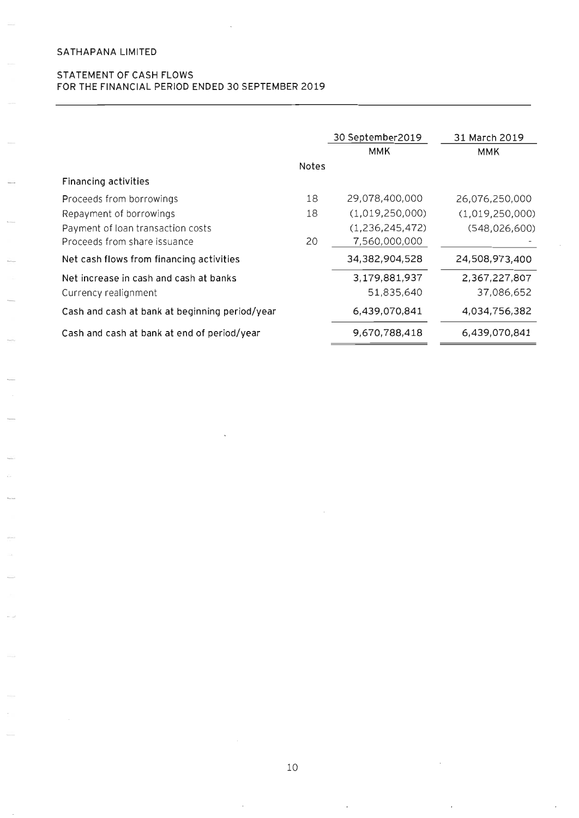$\sim$ 

## STATEMENT OF CASH FLOWS FOR THE FINANCIAL PERIOD ENDED 30 SEPTEMBER 2019

|                                                |              | 30 September2019 | 31 March 2019   |
|------------------------------------------------|--------------|------------------|-----------------|
|                                                |              | ммк              | <b>MMK</b>      |
|                                                | <b>Notes</b> |                  |                 |
| Financing activities                           |              |                  |                 |
| Proceeds from borrowings                       | 18           | 29,078,400,000   | 26,076,250,000  |
| Repayment of borrowings                        | 18           | (1,019,250,000)  | (1,019,250,000) |
| Payment of loan transaction costs              |              | (1,236,245,472)  | (548, 026, 600) |
| Proceeds from share issuance                   | 20           | 7,560,000,000    |                 |
| Net cash flows from financing activities       |              | 34,382,904,528   | 24,508,973,400  |
| Net increase in cash and cash at banks         |              | 3,179,881,937    | 2,367,227,807   |
| Currency realignment                           |              | 51,835,640       | 37,086,652      |
| Cash and cash at bank at beginning period/year |              | 6,439,070,841    | 4,034,756,382   |
| Cash and cash at bank at end of period/year    |              | 9,670,788,418    | 6,439,070,841   |
|                                                |              |                  |                 |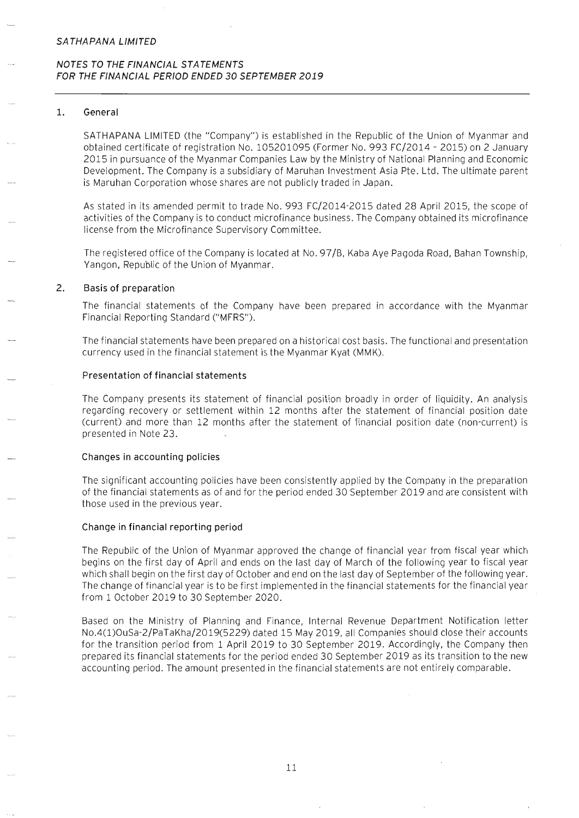## NOTES TO THE FINANCIAL STATEMENTS FOR THE FINANCIAL PERIOD ENDED 30 SEPTEMBER 2019

## 1. General

SATHAPANA LIMITED (the "Company") is established in the Republic of the Union of Myanmar and obtained certificate of registration No. 105201095 (Former No. 993 FCl2074 - 2015) on 2 January 2015 in pursuance of the Myanmar Companies Law by the Ministry of National Planning and Economic Development. The Company is a subsidiary of Maruhan lnvestment Asia Pte. Ltd. The ultimate parent is Maruhan Corporation whose shares are not publicly traded in Japan.

As stated in its amended permit to trade No. 993 FC/2014-2015 dated 28 April 2015, the scope of activities of the Company is to conduct microfinance business. The Company obtained its microfinance license from the Microfinance Supervisory Committee.

The registered office of the Company is located at No. 97/B, Kaba Aye Pagoda Road, Bahan Township, Yangon, Republic of the Union of Myanmar.

#### Basis of preparation 2.

The financial statements of the Company have been prepared in accordance with the Myanmar Financial Reporting Standard ("MFRS").

The financial statements have been prepared on a historical cost basis. The functional and presentation currency used in the financial statement is the Myanmar Kyat (MMK).

## Presentation of financial statements

The Company presents its statement of financial position broadly in order of liquidity. An analysis regarding recovery or settlement within 12 months after the statement of financial position date (current) and more than 12 months after the statement of financial position date (non-current) is presented in Note 23.

## Changes in accounting policies

The significant accounting policies have been consistently applied by the Company in the preparation of the financial statements as of and for the period ended 30 September 2019 and are consistent with those used in the previous year.

## Change in financial reporting period

The Republic of the Union of Myanmar approved the change of financial year from fiscal year which begins on the first day of April and ends on the last day of March of the following year to fiscal year which shall begin on the first day of October and end on the last day of September of the following year. The change of financial year is to be first implemented in the financial statements for the financial year from 1 October 2019 to 30 September 2020.

Based on the Ministry of Planning and Finance, lnternal Revenue Department Notification letter No.4(1)OuSa-2/PaTaKhal2Ot9(5229) dated 15 May 2079, all Companies should close their accounts for the transition period from 1 April 2019 to 30 September 2019. Accordingly, the Company then prepared its financial statements for the period ended 30 September 2019 as its transition to the new accounting period. The amount presented in the financial statements are not entirely comparable.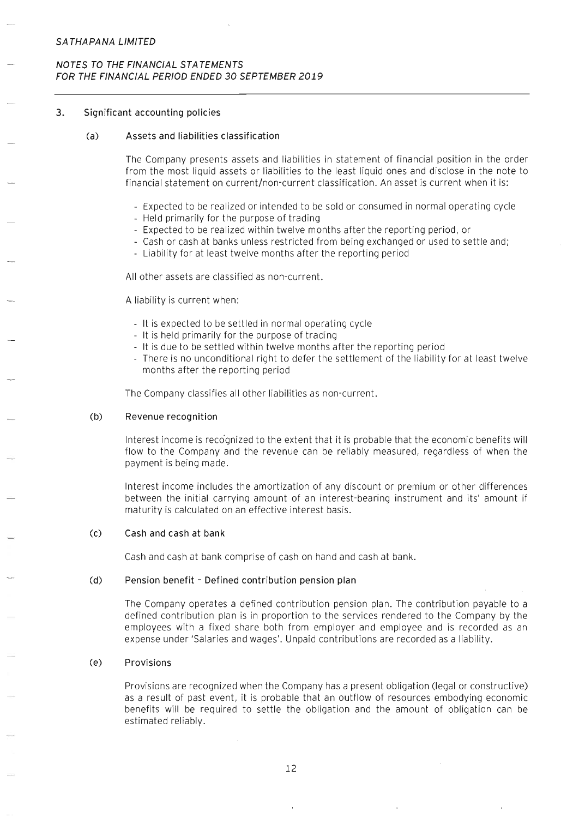## NOTES TO THE FINANCIAL STATEMENTS FOR THE FINANCIAL PERIOD ENDED 30 SEPTEMBER 2019

#### 3. Significant accounting policies

#### (a) Assets and liabilities classification

The Company presents assets and liabilities in statement of financial position in the order from the most liquid assets or liabilities to the least liquid ones and disclose in the note to financial statement on current/non-current classification. An asset is current when it is:

- Expected to be realized or intended to be sold or consumed in normaloperating cycle
- Held primarily for the purpose of trading
- Expected to be realized within twelve months after the reporting period, or
- Cash or cash at banks unless restricted from being exchanged or used to settle and;
- Liability for at least twelve months after the reporting period

All other assets are classified as non-current.

A liability is current when:

- lt is expected to be settled in normal operating cycle
- lt is held primarily for the purpose of trading
- lt is due to be settled within twelve months after the reporting period
- There is no unconditional right to defer the settlement of the liability for at least twelve months after the reporting period

The Company classifies all other liabilities as non-current.

#### (b) Revenue recognition

lnterest income is recognized to the extent that it is probable that the economic benefits will flow to the Company and the revenue can be reliably measured, regardless of when the payment is being made.

lnterest income includes the amortization of any discount or premium or other differences between the initial carrying amount of an interest-bearing instrument and its'amount if maturity is calculated on an effective interest basis.

## (c) Cash and cash at bank

Cash and cash at bank comprise of cash on hand and cash at bank.

#### (d) Pension benefit - Defined contribution pension plan

The Company operates a defined contribution pension plan. The contribution payable to a defined contribution plan is in proportion to the services rendered to the Company by the employees with a fixed share both from employer and employee and is recorded as an expense under'Salaries and wages'. Unpaid contributions are recorded as a liability.

#### (e) Provisions

Provisions are recognized when the Company has a present obligation (legal or constructive) as a result of past event, it is probable that an outflow of resources embodying economic benefits will be required to settle the obligation and the amount of obligation can be estimated reliably.

72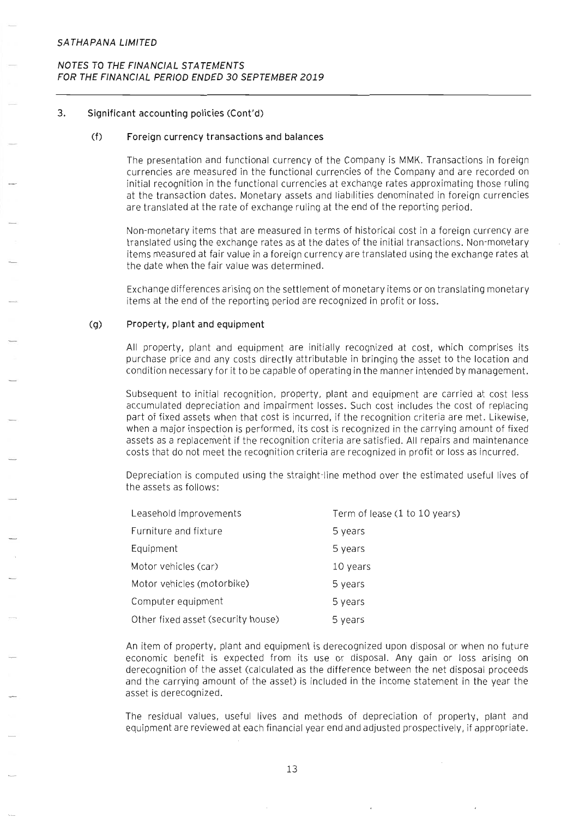## NOTES TO THE FINANCIAL STATEMENTS FOR THE FINANCIAL PERIOD ENDED 30 SEPTEMBER 2019

## 3. Significant accounting policies (Cont'd)

#### Foreign currency transactions and balances (f)

The presentation and functional currency of the Company is MMK. Transactions in foreign currencies are measured in the functional currencies of the Company and are recorded on initial recognition in the functional currencies at exchange rates approximating those ruling at the transaction dates. Monetary assets and liabilities denominated in foreign currencies are translated at the rate of exchange ruling at the end of the reporting period.

Non-monetary items that are measured in terms of historical cost in a foreign currency are translated using the exchange rates as at the dates of the initial transactions. Non-monetary items measured at fair value in a foreign currency are translated using the exchange rates at the date when the fair value was determined.

Exchange differences arising on the settlement of monetary items or on translating monetary items at the end of the reporting period are recognized in profit or loss.

#### (q) Property, plant and equipment

All property, plant and equipment are initially recognized at cost, which comprises its purchase price and any costs directly attributable in bringing the asset to the location and condition necessary for it to be capable of operating in the manner intended by management.

Subsequent to initial recognition, property, plant and equipment are carried at cost Iess accumulated depreciation and impairment losses. Such cost includes the cost of replacing part of fixed assets when that cost is incurred, if the recognition criteria are met. Likewise, when a major inspection is performed, its cost is recognized in the carrying amount of fixed assets as a replacement if the recognition criteria are satisfied. All repairs and maintenance costs that do not meet the recognition criteria are recognized in profit or loss as incurred.

Depreciation is computed using the straight-line method over the estimated useful lives of the assets as follows:

| Leasehold improvements             | Term of lease (1 to 10 years) |
|------------------------------------|-------------------------------|
| Furniture and fixture              | 5 years                       |
| Equipment                          | 5 years                       |
| Motor vehicles (car)               | 10 years                      |
| Motor vehicles (motorbike)         | 5 years                       |
| Computer equipment                 | 5 years                       |
| Other fixed asset (security house) | 5 years                       |

An item of property, plant and equipment is derecognized upon disposal or when no future economic benefit is expected from its use or disposal. Any gain or loss arising on derecognition of the asset (calculated as the difference between the net disposal proceeds and the carrying amount of the asset) is included in the income statement in the year the asset is derecognized.

The residual values, useful lives and methods of depreciation of property, plant and equipment are reviewed at each financial year end and adjusted prospectively, if appropriate.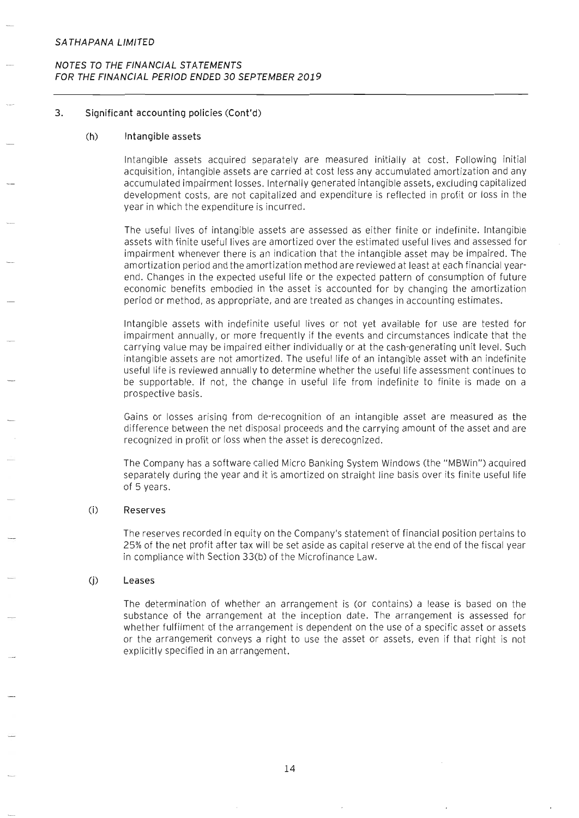## NOTES TO THE FINANCIAL STATEMENTS FOR THE FINANCIAL PERIOD ENDED 30 SEPTEMBER 2019

#### Significant accounting policies (Cont'd) 3.

## (h) lntangible assets

lntangible assets acquired separately are measured initially at cost. Following initial acquisition, intangible assets are carried at cost less any accumulated amortization and any accumulated impairment losses. lnternally generated intangible assets, excluding capitalized development costs, are not capitalized and expenditure is reflected in profit or loss in the year in which the expenditure is incurred.

The useful lives of intangible assets are assessed as either finite or indefinite. Intangible assets with finite useful lives are amortized over the estimated useful Iives and assessed for impairment whenever there is an indication that the intangible asset may be impaired. The amortization period and the amortization method are reviewed at least at each financial yearend. Changes in the expected useful life or the expected pattern of consumption of future economic benefits embodied in the asset is accounted for by changing the amortization period or method, as appropriate, and are treated as changes in accounting estimates.

lntangible assets with indefinite useful lives or not yet available for use are tested for impairment annually, or more frequently if the events and circumstances indicate that the carrying value may be impaired either individually or at the cash-generating unit level. Such intangible assets are not amortized. The useful life of an intangible asset with an indefinite useful life is reviewed annually to determine whether the useful life assessment continues to be supportable. lf not, the change in useful life from indefinite to finite is made on a prospective basis.

Gains or losses arising from de-recognition of an intangible asset are measured as the difference between the net disposal proceeds and the carrying amount of the asset and are recognized in profit or loss when the asset is derecognized.

The Company has a software called Micro Banking System Windows (the "MBWin") acquired separately during the year and it is amortized on straight line basis over its finite useful life of 5 years.

## (i) Reserves

The reserves recorded in equity on the Company's statement of financial position pertains to 25% of the net profit after tax will be set aside as capital reserve at the end of the fiscal year in compliance with Section 33(b) of the Microfinance Law.

## (j) Leases

The determination of whether an arrangement is (or contains) a lease is based on the substance of the arrangement at the inception date. The arrangement is assessed for whether fulfilment of the arrangement is dependent on the use of a specific asset or assets or the arrangement conveys a right to use the asset or assets, even if that right is not explicitly specified in an arrangement.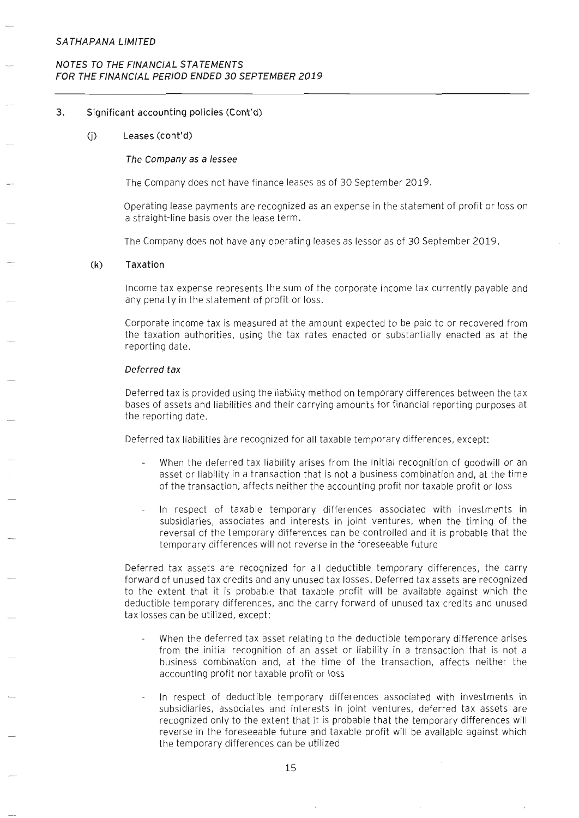#### Significant accounting policies (Cont'd) 3.

#### (j) Leases (cont'd)

#### The Company as a /essee

The Company does not have finance leases as of 30 September 2019.

Operating lease payments are recognized as an expense in the statement of profit or loss on a straight-line basis over the lease term.

The Company does not have any operating leases as lessor as of 30 September 2019.

#### Taxation (k)

lncome tax expense represents the sum of the corporate income tax currently payable and any penalty in the statement of profit or loss.

Corporate income tax is measured at the amount expected to be paid to or recovered from the taxation authorities, using the tax rates enacted or substantially enacted as at the reporting date.

#### Deferred tax

Deferred tax is provided using the liability method on temporary differences between the tax bases of assets and liabilities and their carrying amounts for financial reporting purposes at the reporting date.

Deferred tax liabilities are recognized for all taxable temporary differences, except:

- When the deferred tax liability arises from the initial recognition of goodwill or an asset or liability in a transaction that is not a business combination and, at the time of the transaction, affects neither the accounting profit nor taxable profit or loss
- In respect of taxable temporary differences associated with investments in subsidiaries, associates and interests in joint ventures, when the timing of the reversal of the temporary differences can be controlled and it is probable that the temporary differences will not reverse in the foreseeable future

Deferred tax assets are recognized for all deductible temporary differences, the carry forward of unused tax credits and any unused tax losses. Deferred tax assets are recognized to the extent that it is probable that taxable profit will be available against which the deductible temporary differences, and the carry forward of unused tax credits and unused tax losses can be utilized, except:

- When the deferred tax asset relating to the deductible temporary difference arises from the initial recognition of an asset or liability in a transaction that is not a business combination and, at the time of the transaction, affects neither the accounting profit nor taxable profit or loss
- In respect of deductible temporary differences associated with investments in subsidiaries, associates and interests in joint ventures, deferred tax assets are recognized only to the extent that it is probable that the temporary differences will reverse in the foreseeable future and taxable profit will be available against which the temporary differences can be utilized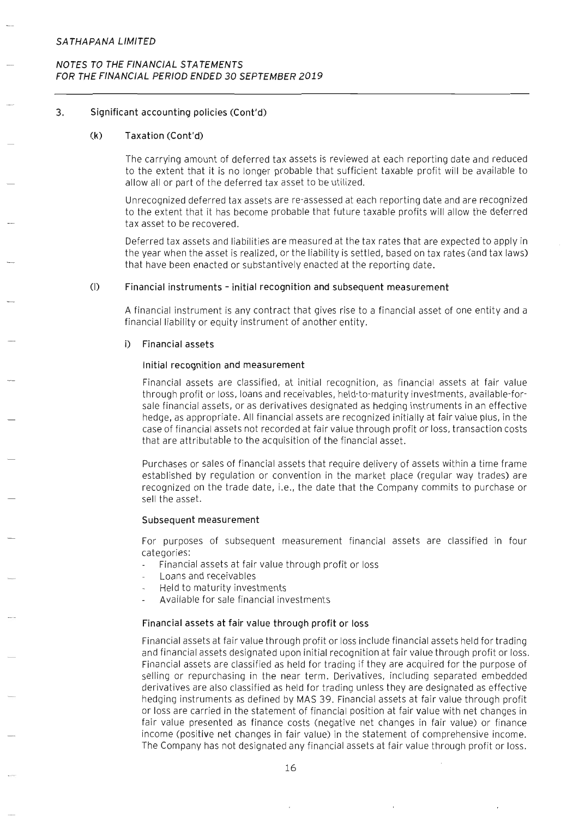### 3. Significant accounting policies (Cont'd)

## (k) Taxation (Cont'd)

The carrying amount of deferred tax assets is reviewed at each reporting date and reduced to the extent that it is no longer probable that sufficient taxable profit will be available to allow all or part of the deferred tax asset to be utilized.

Unrecognized deferred tax assets are re-assessed at each reporting date and are recognized to the extent that it has become probable that future taxable profits will allow the deferred tax asset to be recovered.

Deferred tax assets and liabilities are measured at the tax rates that are expected to apply in the year when the asset is realized, or the liability is settled, based on tax rates (and tax laws) that have been enacted or substantively enacted at the reporting date.

#### (l) Financial instruments - initial recognition and subsequent measurement

A financial instrument is any contract that gives rise to a financial asset of one entity and a financial liability or equity instrument of another entity.

#### i) Financial assets

#### lnitial recognition and measurement

Financial assets are classified, at initial recognition, as financial assets at fair value through profit or loss, loans and receivables, held-to-maturity investments, available-forsale financial assets, or as derivatives designated as hedging instruments in an effective hedge, as appropriate. All financial assets are recognized initially at fair value plus, in the case of financial assets not recorded at fair value through profit or loss, transaction costs that are attributable to the acquisition of the financial asset.

Purchases or sales of financial assets that require delivery of assets within a time frame established by regulation or convention in the market place (regular way trades) are recognized on the trade date, i.e., the date that the Company commits to purchase or sell the asset.

### Subsequent measurement

For purposes of subsequent measurement financial assets are classified in four categories:

- Financial assets at fair value through profit or loss
- Loans and receivables
- Held to maturity investments
- Available for sale financial investments

#### Financial assets at fair value through profit or loss

Financial assets at fair value through profit or loss include financial assets held for trading and financial assets designated upon initial recognition at fair value through profit or loss. Financial assets are classified as held for trading if they are acquired for the purpose of selling or repurchasing in the near term. Derivatives, including separated embedded derivatives are also classified as held for trading unless they are designated as effective hedging instruments as defined by MAS 39. Financial assets at fair value through profit or loss are carried in the statement of financial position at fair value with net changes in fair value presented as finance costs (negative net changes in fair value) or finance income (positive net changes in fair value) in the statement of comprehensive income. The Company has not designated any financial assets at fair value through profit or loss.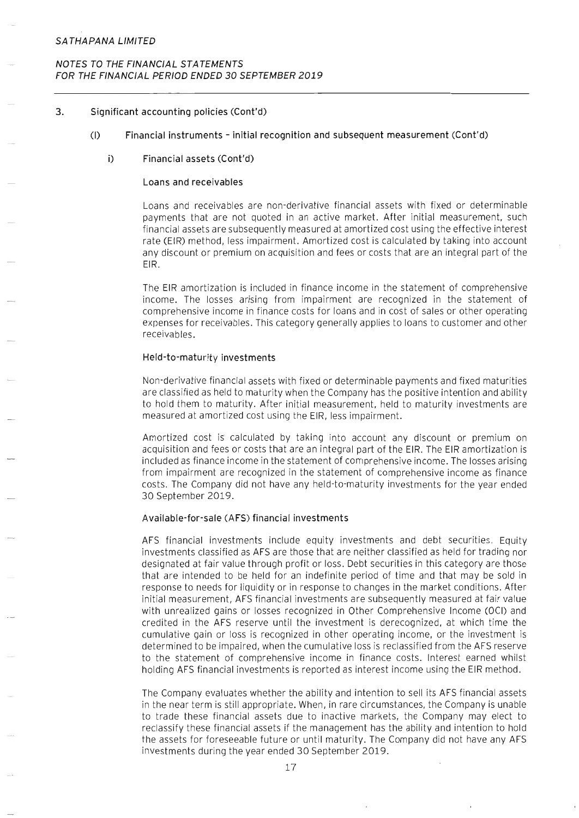## NOTES TO THE FINANCIAL STATEMENTS FOR THE FINANCIAL PERIOD ENDED 30 SEPTEMBER 2019

### 3. Significant accounting policies (Cont'd)

- (l) Financial instruments initial recognition and subsequent measurement (Cont'd)
	- i) Financial assets (Cont'd)

#### Loans and receivables

Loans and receivables are non-derivative financial assets with fixed or determinable payments that are not quoted in an active market. After initial measurement, such financial assets are subsequently measured at amortized cost using the effective interest rate (ElR) method, less impairment. Amortized cost is calculated by taking into account any discount or premium on acquisition and fees or costs that are an integral part of the EIR.

The EIR amortization is included in finance income in the statement of comprehensive income. The losses arising from impairment are recognized in the statement of comprehensive income in finance costs for loans and in cost of sales or other operating expenses for receivables. This category generally applies to loans to customer and other receivables.

#### Held-to-maturity investments

Non-derivative financial assets with fixed or determinable payments and fixed maturities are classified as held to maturity when the Company has the positive intention and ability to hold them to maturity. After initial measurement, held to maturity investments are measured at amortized cost using the ElR, less impairment.

Amortized cost is calculated by taking into account any discount or premium on acquisition and fees or costs that are an integral part of the ElR. The EIR amortization is included as finance income in the statement of comprehensive income. The losses arising from impairment are recognized in the statement of comprehensive income as finance costs. The Company did not have any held-to-maturity investments for the year ended 30 September 2019.

#### Available-for-sale (AFS) financial investments

AFS financial investments include equity investments and debt securities. Equity investments classified as AFS are those that are neither classified as held for trading nor designated at fair value through profit or loss. Debt securities in this category are those that are intended to be held for an indefinite period of time and that may be sold in response to needs for liquidity or in response to changes in the market conditions. After initial measurement, AFS financial investments are subsequently measured at fair value with unrealized gains or losses recognized in Other Comprehensive lncome (OCl) and credited in the AFS reserve until the investment is derecognized, at which time the cumulative gain or loss is recognized in other operating income, or the investment is determined to be impaired, when the cumulative loss is reclassified from the AFS reserve to the statement of comprehensive income in finance costs. lnterest earned whilst holding AFS financial investments is reported as interest income using the EIR method.

The Company evaluates whether the ability and intention to sell its AFS financial assets in the near term is still appropriate. When, in rare circumstances, the Company is unable to trade these financial assets due to inactive markets, the Company may elect to reclassify these financial assets if the management has the ability and intention to hold the assets for foreseeable future or until maturity. The Company did not have any AFS investments during the year ended 30 September 2019.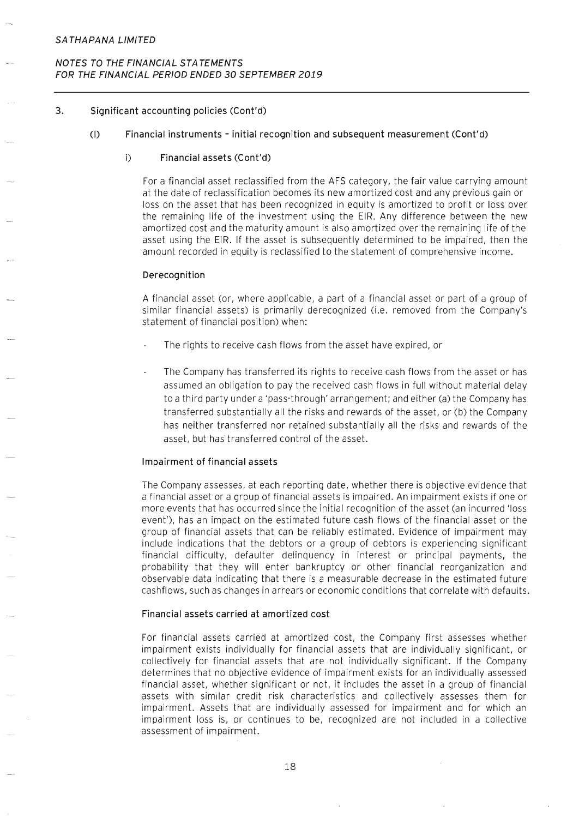## NOTES TO THE FINANCIAL STATEMENTS FOR THE FINANCIAL PERIOD ENDED 30 SEPTEMBER 2079

#### Significant accounting policies (Cont'd) 3.

() Financial instruments - initial recognition and subsequent measurement (Cont'd)

### i) Financial assets (Cont'd)

For a financial asset reclassified from the AFS category, the fair value carrying amount at the date of reclassification becomes its new amortized cost and any previous gain or loss on the asset that has been recognized in equity is amortized to profit or Ioss over the remaining life of the investment using the ElR. Any difference between the new amortized cost and the maturity amount is also amortized over the remaining life of the asset using the ElR. lf the asset is subsequently determined to be impaired, then the amount recorded in equity is reclassified to the statement of comprehensive income.

#### Derecognition

A financial asset (or, where applicable, a part of a financial asset or part of a group of similar financial assets) is primarily derecognized (i.e. removed from the Company's statement of financial position) when:

- The rights to receive cash flows from the asset have expired, or
- The Company has transferred its rights to receive cash flows from the asset or has assumed an obligation to pay the received cash flows in full without material delay to a third party under a 'pass-through'arrangement; and either (a) the Company has transferred substantially all the risks and rewards of the asset, or (b) the Company has neither transferred nor retained substantially all the risks and rewards of the asset, but has transferred control of the asset.

## Impairment of financial assets

The Company assesses, at each reporting date, wheiher there is objective evidence that a financial asset or a group of financial assets is impaired. An impairment exists if one or more events that has occurred since the initial recognition of the asset (an incurred 'loss event'), has an impact on the estimated future cash flows of the financial asset or the group of financial assets that can be reliably estimated. Evidence of impairment may include indications that the debtors or a group of debtors is experiencing significant financial difficulty, defaulter delinquency in interest or principal payments, the probability that they will enter bankruptcy or other financial reorganization and observable data indicating that there is a measurable decrease in the estimated future cashflows, such as changes in arrears or economic conditions that correlate with defaults.

## Financial assets carried at amortized cost

For financial assets carried at amortized cost, the Company first assesses whether impairment exists individually for financial assets that are individually significant, or collectively for financial assets that are not individually significant. lf the Company determines that no objective evidence of impairment exists for an individually assessed financial asset, whether significant or not, it includes the asset in a group of financial assets with similar credit risk characteristics and collectively assesses them for impairment. Assets that are individually assessed for impairment and for which an impairment loss is, or continues to be, recognized are not included in a collective assessment of im pairment.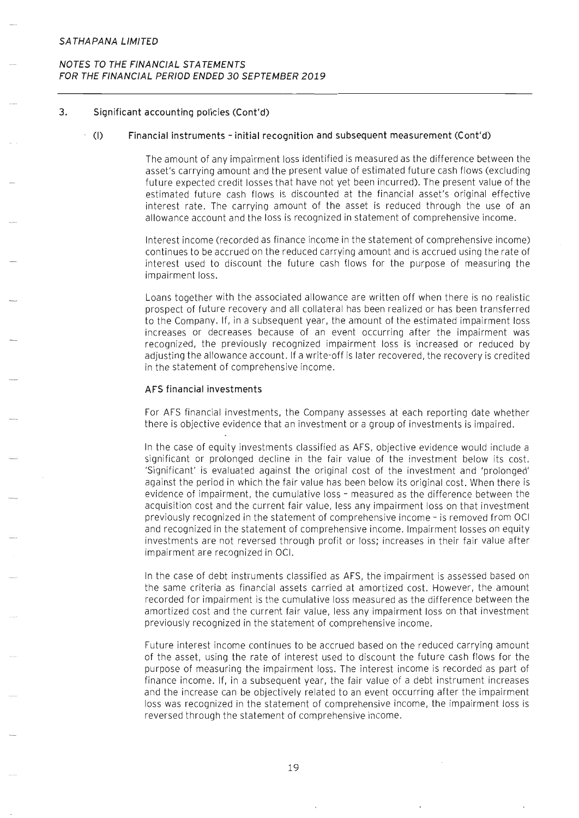## NOTES TO THE FINANCIAL STATEMENTS FOR THE FINANCIAL PERIOD ENDED 30 SEPTEMBER 2019

### 3. Significant accounting policies (Cont'd)

## $\cdot$  (I) Financial instruments - initial recognition and subsequent measurement (Cont'd)

The amount of any impairment loss identified is measured as the difference between the asset's carrying amount and the present value of estimated future cash flows (excluding future expected credit losses that have not yet been incurred). The present value of the estimated future cash flows is discounted at the financial asset's original effective interest rate. The carrying amount of the asset is reduced through the use of an allowance account and the Ioss is recognized in statement of comprehensive income.

Interest income (recorded as finance income in the statement of comprehensive income) continues to be accrued on the reduced carrying amount and is accrued using the rate of interest used to discount the future cash flows for the purpose of measuring the impairment loss.

Loans together with the associated allowance are written off when there is no realistic prospect of future recovery and all collateral has been realized or has been transferred to the Company. If, in a subsequent year, the amount of the estimated impairment loss increases or decreases because of an event occurring after the impairment was recognized, the previously recognized impairment loss is increased or reduced by adjusting the allowance account. lf a write-off is later recovered, the recovery is credited in the statement of comprehensive income.

#### AFS financial investments

For AFS financial investments, the Company assesses at each reporting date whether there is objective evidence that an investment or a group of investments is impaired.

ln the case of equity investments classified as AFS, objective evidence would include a significant or prolonged decline in the fair value of the investment below its cost. 'Significant' is evaluated against the original cost of the investment and 'prolonged' against the period in which the fair value has been below its original cost. When there is evidence of impairment, the cumulative loss - measured as the difference between the acquisition cost and the current fair value, less any impairment loss on that investment previously recognized in the statement of comprehensive income - is removed from OCI and recognized in the statement of comprehensive income. lmpairment losses on equity investments are not reversed through profit or loss; increases in their fair value after impairment are recognized in OCl.

ln the case of debt instruments classified as AFS, the impairment is assessed based on the same criteria as financial assets carried at amortized cost. However, the amount recorded for impairment is the cumulative loss measured as the difference between the amortized cost and the current fair value, less any impairment loss on that investment previously recognized in the statement of comprehensive income.

Future interest income continues to be accrued based on the reduced carrying amount of the asset, using the rate of interest used to discount the future cash flows for the purpose of measuring the impairment loss. The interest income is recorded as part of finance income. lf, in a subsequent year, the fair value of a debt instrument increases and the increase can be objectively related to an event occurring after the impairment loss was recognized in the statement of comprehensive income, the impairment loss is reversed through the statement of comprehensive income.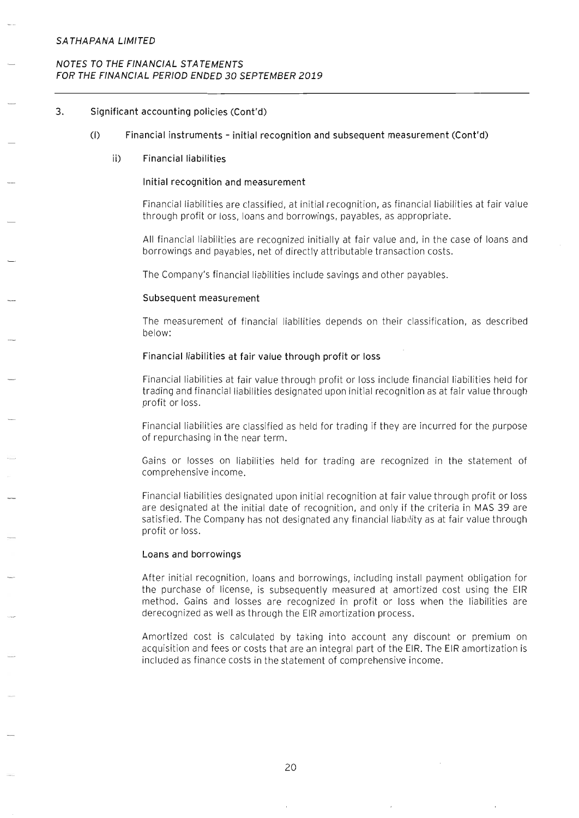## NOTES TO THE FINANCIAL STATEMENTS FOR THE FINANCIAL PERIOD ENDED 30 SEPTEMBER 2079

## 3. Significant accounting policies (Cont'd)

## (l) Financial instruments - initial recognition and subsequent measurement (Cont'd)

### ii) Financial liabilities

#### lnitial recognition and measurement

Financial liabilities are classified, at initial recognition, as financial liabilities at fair value through profit or loss, loans and borrowings, payables, as appropriate.

All financial Iiabilities are recognized initially at fair value and, in the case of loans and borrowings and payables, net of directly attributable transaction costs.

The Company's financial Iiabilities include savings and other payables.

#### Subsequent measurement

The measurement of financial liabilities depends on their classification, as described below:

#### Financial liabilities at fair value through profit or loss

Financial liabilities at fair value through profit or loss include financial liabilities held for trading and financial liabilities designated upon initial recognition as at fair value through profit or loss.

Financial liabilities are classified as held for trading if they are incurred for the purpose of repurchasing in the near term.

Gains or losses on liabilities held for trading are recognized in the statement of com prehensive income.

Financial liabilities designated upon initial recognition at fair value through profit or loss are designated at the initial date of recognition, and only if the criteria in MAS 39 are satisfied. The Company has not designated any financial liability as at fair value through profit or loss.

## Loans and borrowings

After initial recognition, loans and borrowings, including install payment obligation for the purchase of license, is subsequently measured at amortized cost using the EIR method. Gains and losses are recognized in profit or loss when the liabilities are derecognized as well as through the EIR amortization process.

Amortized cost is calculated by taking into account any discount or premium on acquisition and fees or costs that are an integral part of the ElR. The EIR amortization is included as finance costs in the statement of comprehensive income.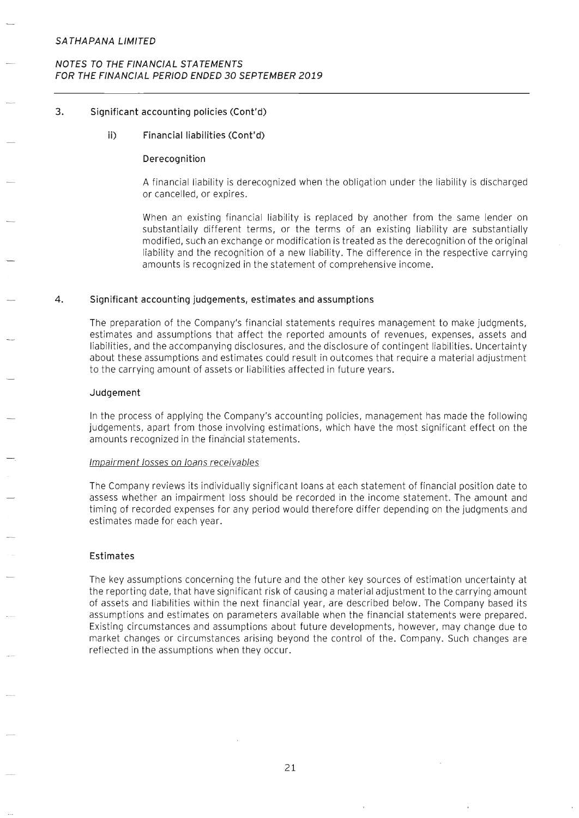## NOTES TO THE FINANCIAL STATEMENTS FOR THE FINANCIAL PERIOD ENDED 30 SEPTEMBER 2019

#### Significant accounting policies (Cont'd) 3.

ii) Financial liabilities (Cont'd)

#### Derecognition

A financial liability is derecognized when the obligation under the liability is discharged or cancelled, or expires.

When an existing financial liability is replaced by another from the same lender on substantially different terms, or the terms of an existing liability are substantially modified, such an exchange or modification is treated as the derecognition of the original liability and the recognition of a new liability. The difference in the respective carrying amounts is recognized in the statement of comprehensive income.

#### 4. Significant accounting judgements, estimates and assumptions

The preparation of the Company's financial statements requires management to make judgments, estimates and assumptions that affect the reported amounts of revenues, expenses, assets and liabilities, and the accompanying disclosures, and the disclosure of contingent liabilities. Uncertainty about these assumptions and estimates could result in outcomes that require a material adjustment to the carrying amount of assets or liabilities affected in future years.

#### Judgement

ln the process of applying the Company's accounting policies, management has made the following judgements, apart from those involving estimations, which have the most significant effect on the amounts recognized in the financial statements.

#### Impairment losses on loans receivables

The Company reviews its individually significant loans at each statement of financial position date to assess whether an impairment loss should be recorded in the income statement. The amount and timing of recorded expenses for any period would therefore differ depending on the judgments and estimates made for each year.

## Estimates

The key assumptions concerning the future and the other key sources of estimation uncertainty at the reporting date, that have significant risk of causing a material adjustment to the carrying amount of assets and liabilities within the next financial year, are described below. The Company based its assumptions and estimates on parameters available when the financial statements were prepared. Existing circumstances and assumptions about future developments, however, may change due to market changes or circumstances arising beyond the control of the. Company. Such changes are reflected in the assumptions when they occur.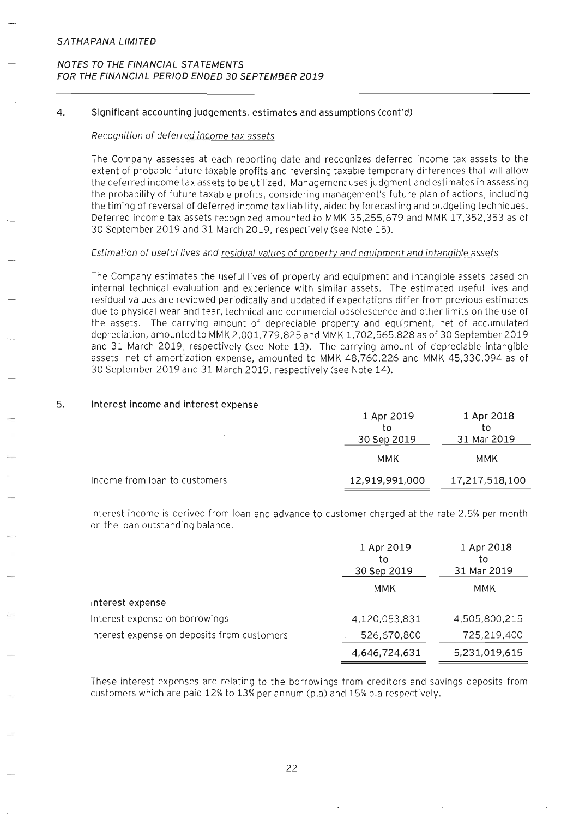## NOTES TO THE FINANCIAL STATEMENTS FOR THE FINANCIAL PERIOD ENDED 30 SEPTEMBER 2019

## 4. Significant accounting judgements, estimates and assumptions (cont'd)

#### Recognition of deferred income tax assets

The Company assesses at each reporting date and recognizes deferred income tax assets to the extent of probable future taxable profits and reversing taxable temporary differences that will allow the deferred income tax assets to be utilized. Management uses judgment and estimates in assessing the probability of future taxable profits, considering management's future plan of actions, including the timing of reversal of deferred income tax liability, aided by forecasting and budgeting techniques. Deferred income tax assets recognized amounted to MMK 35,255,679 and MMK 17,352,353 as of 30 September 2019 and 31 March 2019, respectively (see Note 15).

#### Estimation of useful lives and residual values of property and equipment and intangible assets

The Company estimates the useful lives of property and equipment and intangible assets based on internal technical evaluation and experience with similar assets. The estimated useful lives and residual values are reviewed periodically and updated if expectations differ from previous estimates due to physical wear and tear, technical and commercial obsolescence and other limits on the use of the assets. The carrying amount of depreciable property and equipment, net of accumulated depreciation, amounted to MMK 2,001,779,825 and MMK 1,702,565,828 as of 30 September 2019 and 31 March 2019, respectively (see Note 13). The carrying amount of depreciable intangible assets, net of amortization expense, amounted to MMK 48,750,226 and MMK 45,330,094 as of 30 September 2019 and 31 March 2019, respectively (see Note 14).

#### lnterest income and interest expense 5.

|                               | 1 Apr 2019     | 1 Apr 2018     |
|-------------------------------|----------------|----------------|
|                               | to             | to             |
| $\sim$                        | 30 Sep 2019    | 31 Mar 2019    |
|                               | ммк            | ммк            |
| Income from Ioan to customers | 12,919,991,000 | 17,217,518,100 |
|                               |                |                |

lnterest income is derived from loan and advance to customer charged at the rate 2.5% per month on the loan outstanding balance.

|                                             | 1 Apr 2019<br>to<br>30 Sep 2019 | 1 Apr 2018<br>to<br>31 Mar 2019 |
|---------------------------------------------|---------------------------------|---------------------------------|
|                                             | MMK                             | ммк                             |
| Interest expense                            |                                 |                                 |
| Interest expense on borrowings              | 4,120,053,831                   | 4,505,800,215                   |
| Interest expense on deposits from customers | 526,670,800                     | 725,219,400                     |
|                                             | 4,646,724,631                   | 5,231,019,615                   |

These interest expenses are relating to the borrowings from creditors and savings deposits from customers which are paid  $12\%$  to  $13\%$  per annum (p.a) and  $15\%$  p.a respectively.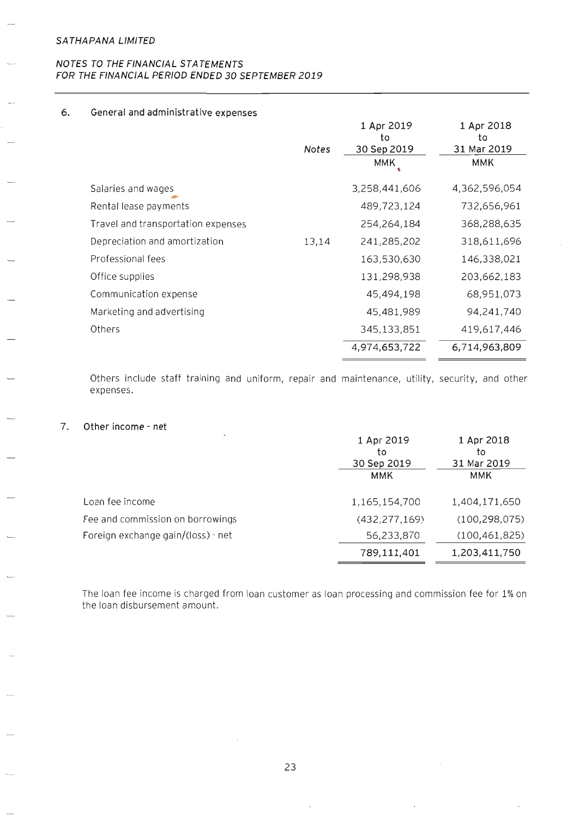## NOTES TO THE FINANCIAL STATEMENTS FOR THE FINANCIAL PERIOD ENDED 30 SEPTEMBER 2019

#### General and administrative expenses 6.

|                                    | Notes | 1 Apr 2019<br>to<br>30 Sep 2019 | 1 Apr 2018<br>to<br>31 Mar 2019 |
|------------------------------------|-------|---------------------------------|---------------------------------|
|                                    |       | <b>MMK</b>                      | ммк                             |
| Salaries and wages                 |       | 3,258,441,606                   | 4,362,596,054                   |
| Rental lease payments              |       | 489,723,124                     | 732,656,961                     |
| Travel and transportation expenses |       | 254,264,184                     | 368,288,635                     |
| Depreciation and amortization      | 13,14 | 241,285,202                     | 318,611,696                     |
| Professional fees                  |       | 163,530,630                     | 146,338,021                     |
| Office supplies                    |       | 131,298,938                     | 203,662,183                     |
| Communication expense              |       | 45,494,198                      | 68,951,073                      |
| Marketing and advertising          |       | 45,481,989                      | 94,241,740                      |
| Others                             |       | 345,133,851                     | 419,617,446                     |
|                                    |       | 4,974,653,722                   | 6,714,963,809                   |

Others include staff training and uniform, repair and maintenance, utility, security, and other expenses.

#### Other income - net 7.

| $\alpha$                           | 1 Apr 2019      | 1 Apr 2018      |
|------------------------------------|-----------------|-----------------|
|                                    | to              | to              |
|                                    | 30 Sep 2019     | 31 Mar 2019     |
|                                    | ммк             | ммк             |
| Loan fee income                    | 1,165,154,700   | 1,404,171,650   |
| Fee and commission on borrowings   | (432, 277, 169) | (100, 298, 075) |
| Foreign exchange gain/(loss) - net | 56,233,870      | (100, 461, 825) |
|                                    | 789,111,401     | 1,203,411,750   |

The loan fee income is charged from loan customer as loan processing and commission fee for 1% on the loan disbursement amount.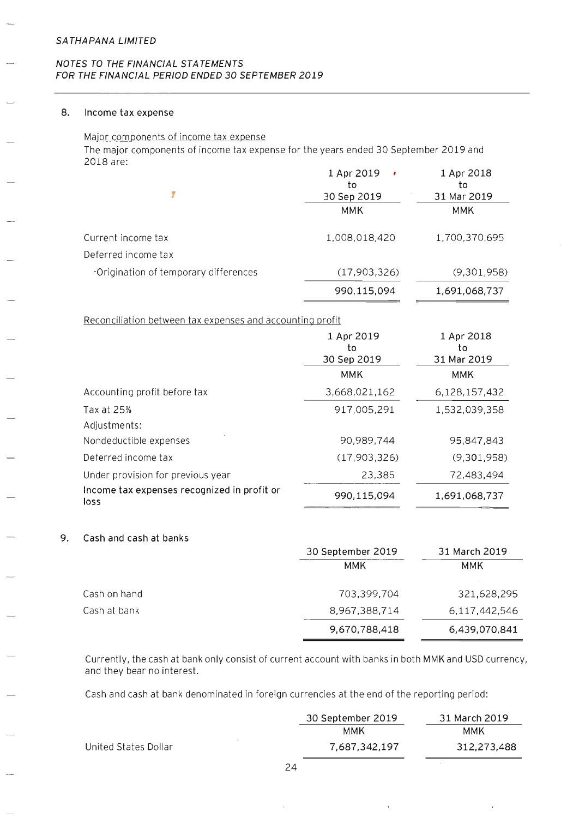## NOTES TO THE FINANCIAL STATEMENTS FOR THE FINANCIAL PERIOD ENDED 30 SEPTEMBER 2019

## 8. lncome tax expense

## Major components of income tax expense

The major components of income tax expense for the years ended 30 September 2019 and 2018 are:

|                                       | 1 Apr 2019<br>$\overline{r}$<br>to | 1 Apr 2018<br>to |
|---------------------------------------|------------------------------------|------------------|
|                                       | 30 Sep 2019                        | 31 Mar 2019      |
|                                       | MMK                                | <b>MMK</b>       |
| Current income tax                    | 1,008,018,420                      | 1,700,370,695    |
| Deferred income tax                   |                                    |                  |
| -Origination of temporary differences | (17,903,326)                       | (9,301,958)      |
|                                       | 990.115,094                        | 1,691,068,737    |

## Reconciliation between tax expenses and accounting profit

|                                                     | 1 Apr 2019<br>to<br>30 Sep 2019 | 1 Apr 2018<br>to<br>31 Mar 2019 |
|-----------------------------------------------------|---------------------------------|---------------------------------|
|                                                     | MMK                             | ммк                             |
| Accounting profit before tax                        | 3,668,021,162                   | 6,128,157,432                   |
| Tax at 25%                                          | 917,005,291                     | 1,532,039,358                   |
| Adjustments:                                        |                                 |                                 |
| Nondeductible expenses                              | 90,989,744                      | 95,847,843                      |
| Deferred income tax                                 | (17,903,326)                    | (9,301,958)                     |
| Under provision for previous year                   | 23,385                          | 72,483,494                      |
| Income tax expenses recognized in profit or<br>loss | 990,115,094                     | 1,691,068,737                   |

#### 9. Cash and cash at banks

|              | 30 September 2019 | 31 March 2019 |
|--------------|-------------------|---------------|
|              | MMK               | MMK           |
| Cash on hand | 703,399,704       | 321,628,295   |
| Cash at bank | 8,967,388,714     | 6,117,442,546 |
|              | 9,670,788,418     | 6,439,070,841 |

Currently, the cash at bank only consist of current account with banks in both MMK and USD currency, and they bear no interest.

Cash and cash at bank denominated in foreign currencies at the end of the reporting period:

|                      | 30 September 2019 | 31 March 2019 |
|----------------------|-------------------|---------------|
|                      | ммк               | ммк           |
| United States Dollar | 7,687,342,197     | 312,273,488   |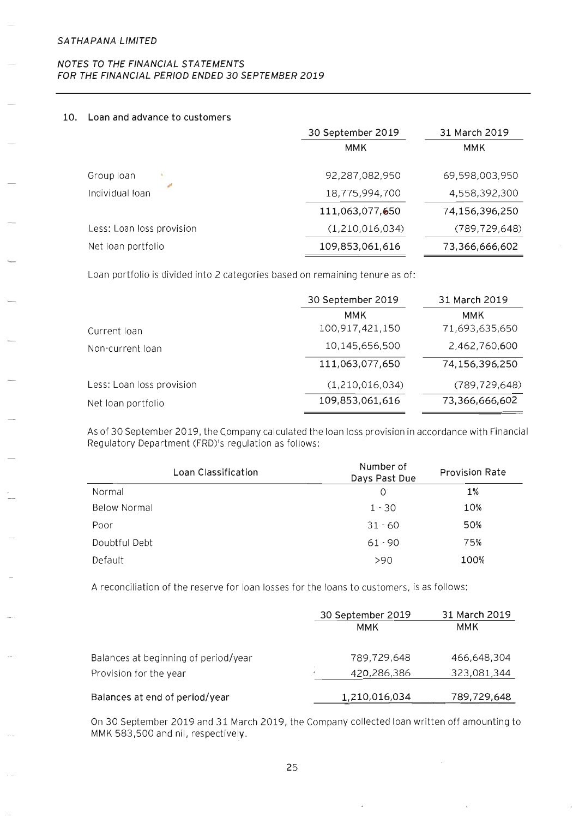## NOTES TO THE FINANCIAL STATEMENTS FOR THE FINANCIAL PERIOD ENDED 30 SEPTEMBER 2019

### 10. Loan and advance to customers

|                           | 30 September 2019 | 31 March 2019   |
|---------------------------|-------------------|-----------------|
|                           | <b>MMK</b>        | ммк             |
| Group loan                | 92,287,082,950    | 69,598,003,950  |
| Individual loan           | 18,775,994,700    | 4,558,392,300   |
|                           | 111,063,077,650   | 74,156,396,250  |
| Less: Loan loss provision | (1,210,016,034)   | (789, 729, 648) |
| Net Ioan portfolio        | 109,853,061,616   | 73,366,666,602  |

Loan portfolio is divided into 2 categories based on remaining tenure as of:

|                           | 30 September 2019 | 31 March 2019   |
|---------------------------|-------------------|-----------------|
|                           | ммк               | ммк             |
| Current Ioan              | 100,917,421,150   | 71,693,635,650  |
| Non-current loan          | 10,145,656,500    | 2,462,760,600   |
|                           | 111,063,077,650   | 74,156,396,250  |
| Less: Loan loss provision | (1,210,016,034)   | (789, 729, 648) |
| Net loan portfolio        | 109,853,061,616   | 73,366,666,602  |

As of 30 September 2019, the Company calculated the loan loss provision in accordance with Financial Regulatory Department (FRD)'s regulation as follows:

| Loan Classification | Number of<br>Days Past Due | <b>Provision Rate</b> |
|---------------------|----------------------------|-----------------------|
| Normal              | $\Omega$                   | $1\%$                 |
| Below Normal        | $1 - 30$                   | 10%                   |
| Poor                | $31 - 60$                  | 50%                   |
| Doubtful Debt       | $61 - 90$                  | 75%                   |
| Default             | >90                        | 100%                  |

A reconciliation of the reserve for loan losses for the loans to customers, is as follows:

|                                      | 30 September 2019<br><b>MMK</b> | 31 March 2019<br><b>MMK</b> |
|--------------------------------------|---------------------------------|-----------------------------|
| Balances at beginning of period/year | 789,729,648                     | 466,648,304                 |
| Provision for the year               | 420,286,386                     | 323,081,344                 |
| Balances at end of period/year       | 1,210,016,034                   | 789,729,648                 |

On 30 September 2019 and 31 March 2079, the Company collected loan written off amounting to MMK 583,500 and nil, respectively.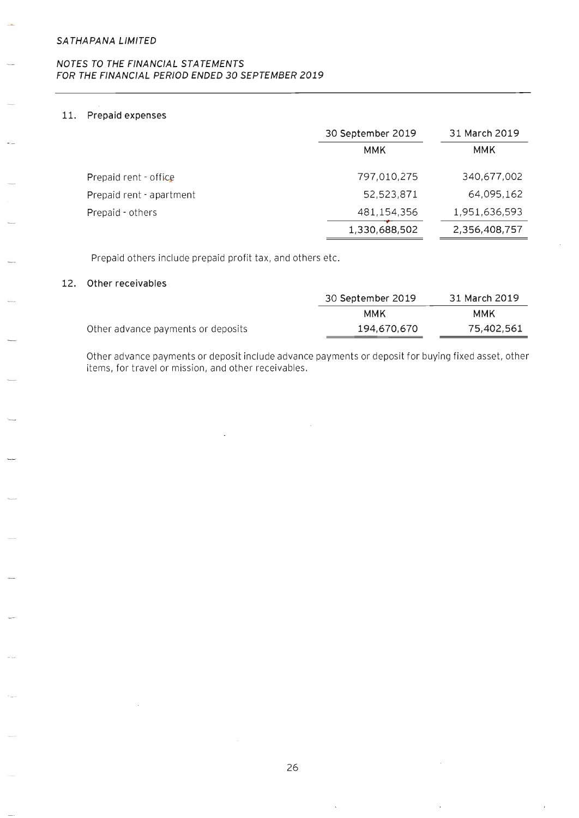## NOTES TO THE FINANCIAL STATEMENTS FOR THE FINANCIAL PERIOD ENDED 30 SEPTEMBER 2019

## 11. Prepaid expenses

|                          | 30 September 2019 | 31 March 2019 |
|--------------------------|-------------------|---------------|
|                          | MMK               | <b>MMK</b>    |
| Prepaid rent - office    | 797,010,275       | 340,677,002   |
| Prepaid rent - apartment | 52,523,871        | 64,095,162    |
| Prepaid - others         | 481,154,356       | 1,951,636,593 |
|                          | 1,330,688,502     | 2,356,408,757 |

Prepaid others include prepaid profit tax, and others etc.

## 12. Other receivables

|                                    | 30 September 2019 | 31 March 2019 |
|------------------------------------|-------------------|---------------|
|                                    | ммк               | ммк           |
| Other advance payments or deposits | 194.670.670       | 75,402,561    |

Other advance payments or deposit include advance payments or deposit for buying fixed asset, other items, for travel or mission, and other receivables.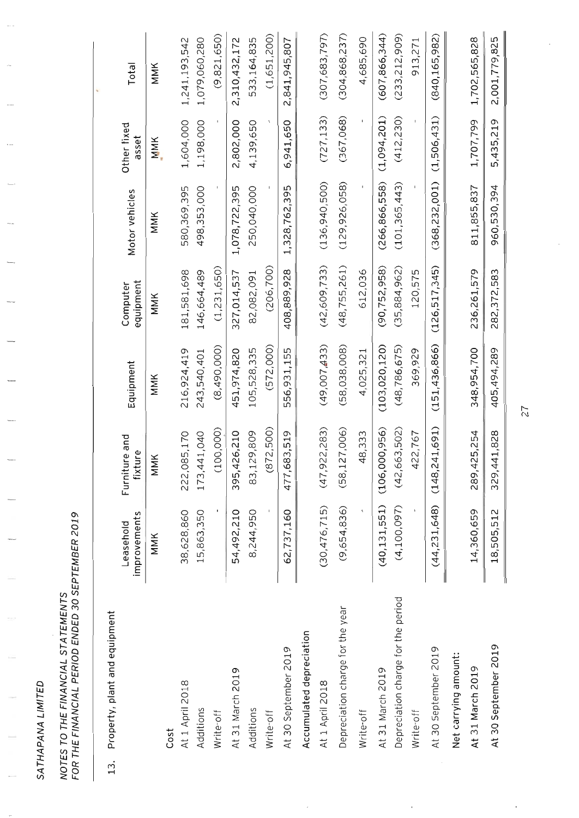$\sim$ 

÷

J.

BER 2019 TS<br>O SEPTEI :MEN<br>FD 3 STATEI<br>D FNDI ,<br>כ CIAL<br>PFRI( IITED<br>INANC<br>JAI PI PANA LIMIT<br>TO THE FIN<br>IF FINANCIA SATHA<br>NOTES<br>FOR TI

ent and equipm ה<br>ה Property, pl :<br>1<br>ا

ý.

|                                    | improvements<br>Leasehold | Furniture and<br>fixture | Equipment       | equipment<br>Computer | Motor vehicles  | Other fixed<br>asset | Total           |
|------------------------------------|---------------------------|--------------------------|-----------------|-----------------------|-----------------|----------------------|-----------------|
|                                    | <b>MMK</b>                | <b>MMK</b>               | <b>MMK</b>      | MMK                   | <b>MMK</b>      | $M_{\rm N}$          | MMK             |
| Cost                               |                           |                          |                 |                       |                 |                      |                 |
| At 1 April 2018                    | 38,628,860                | 222,085,170              | 216,924,419     | 181,581,698           | 580,369,395     | 1,604,000            | 1,241,193,542   |
| Additions                          | 15,863,350                | 173,441,040              | 243,540,401     | 146,664,489           | 498,353,000     | 1,198,000            | 1,079,060,280   |
| Write-off                          |                           | (100, 000)               | (8,490,000)     | (1, 231, 650)         |                 |                      | (9,821,650)     |
| At 31 March 2019                   | 54,492,210                | 395,426,210              | 451,974,820     | 327,014,537           | 1,078,722,395   | 2,802,000            | 2,310,432,172   |
| Additions                          | 8,244,950                 | 83,129,809               | 105,528,335     | 82,082,091            | 250,040,000     | 4,139,650            | 533,164,835     |
| Write-off                          |                           | (872, 500)               | (572,000)       | (206, 700)            |                 |                      | (1,651,200)     |
| At 30 September 2019               | 62,737,160                | 477,683,519              | 556,931,155     | 408,889,928           | 1,328,762,395   | 6,941,650            | 2,841,945,807   |
| Accumulated depreciation           |                           |                          |                 |                       |                 |                      |                 |
| At 1 April 2018                    | (30, 476, 715)            | (47, 922, 283)           | (49,007,433)    | (42,609,733)          | (136, 940, 500) | (727, 133)           | (307, 683, 797) |
| Depreciation charge for the year   | (9,654,836)               | (58, 127, 006)           | (58,038,008)    | (48, 755, 261)        | (129, 926, 058) | (367,068)            | (304, 868, 237) |
| Write-off                          |                           | 48,333                   | 4,025,321       | 612.036               |                 |                      | 4,685,690       |
| At 31 March 2019                   | (40, 131, 551)            | (106,000,956)            | (103, 020, 120) | (90, 752, 958)        | (266, 866, 558) | (1,094,201)          | (607, 866, 344) |
| Depreciation charge for the period | (4,100,097)               | (42, 663, 502)           | (48, 786, 675)  | (35,884,962)          | (101, 365, 443) | (412, 230)           | (233, 212, 909) |
| Write-off                          |                           | 422,767                  | 369,929         | 120,575               |                 |                      | 913,271         |
| At 30 September 2019               | (44, 231, 648)            | (148, 241, 691)          | (151, 436, 866) | (126, 517, 345)       | (368, 232, 001) | (1,506,431)          | (840, 165, 982) |
| Net carrying amount:               |                           |                          |                 |                       |                 |                      |                 |
| At 31 March 2019                   | 14,360,659                | 289,425,254              | 348,954,700     | 236,261,579           | 811,855,837     | 1,707,799            | 1,702,565,828   |
| At 30 September 2019               | 18,505,512                | 329,441,828              | 405,494,289     | 282,372,583           | 960,530,394     | 5,435,219            | 2,001,779,825   |
|                                    |                           |                          |                 |                       |                 |                      |                 |

 $\epsilon$ 

 $\overline{\phantom{a}}$ 

F- N

 $\cdot$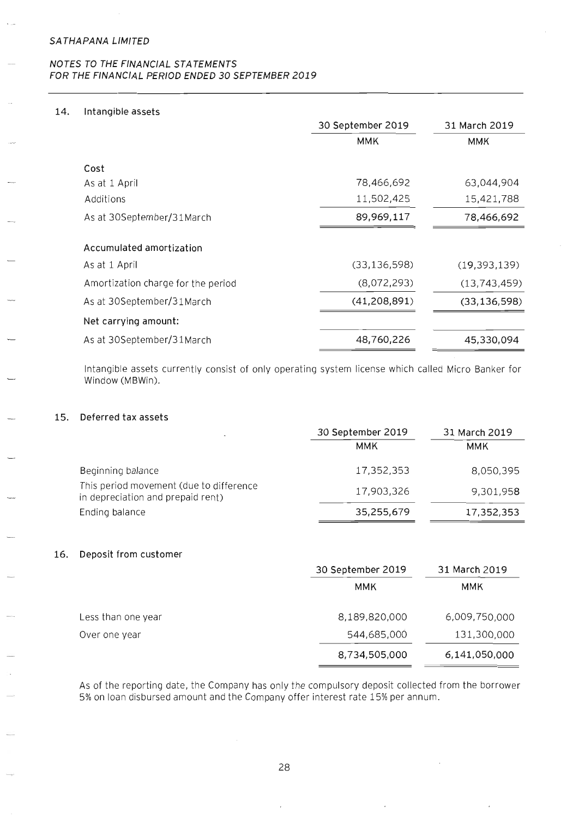## NOTES TO THE FINANCIAL STATEMENTS FOR THE FINANCIAL PERIOD ENDED 30 SEPTEMBER 2019

14. Intangible assets

|                                    | 30 September 2019 | 31 March 2019  |
|------------------------------------|-------------------|----------------|
|                                    | ммк               | <b>MMK</b>     |
| Cost                               |                   |                |
| As at 1 April                      | 78,466,692        | 63,044,904     |
| Additions                          | 11,502,425        | 15,421,788     |
| As at 30September/31March          | 89,969,117        | 78,466,692     |
| Accumulated amortization           |                   |                |
| As at 1 April                      | (33, 136, 598)    | (19, 393, 139) |
| Amortization charge for the period | (8,072,293)       | (13, 743, 459) |
| As at 30September/31March          | (41, 208, 891)    | (33, 136, 598) |
| Net carrying amount:               |                   |                |
| As at 30September/31March          | 48,760,226        | 45,330,094     |

lntangible assets currently consist of only operating system license which called Micro Banker for Window (MBWin).

## 15. Deferred tax assets

| $\sim$                                                                       | 30 September 2019 | 31 March 2019 |  |
|------------------------------------------------------------------------------|-------------------|---------------|--|
|                                                                              | ммк               | <b>MMK</b>    |  |
| Beginning balance                                                            | 17,352,353        | 8,050,395     |  |
| This period movement (due to difference<br>in depreciation and prepaid rent) | 17,903,326        | 9.301.958     |  |
| Ending balance                                                               | 35,255,679        | 17,352,353    |  |

## 16. Deposit from customer

|                    | 30 September 2019 | 31 March 2019 |  |
|--------------------|-------------------|---------------|--|
|                    | ммк               | <b>MMK</b>    |  |
| Less than one year | 8,189,820,000     | 6,009,750,000 |  |
| Over one year      | 544,685,000       | 131,300,000   |  |
|                    | 8,734,505,000     | 6,141,050,000 |  |

As of the reporting date, the Company has only the compulsory deposit collected from the borrower 5% on loan disbursed amount and the Company offer interest rate 15% per annum.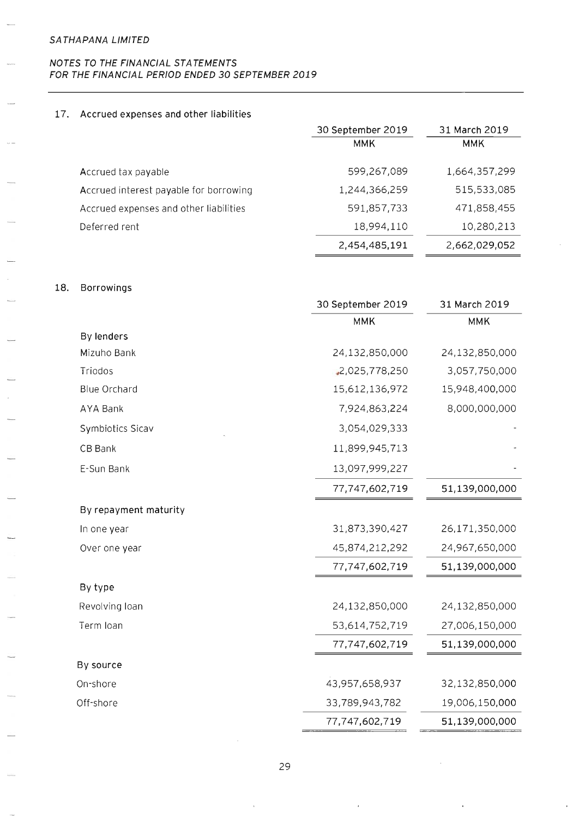## NOTES TO THE FINANCIAL STATEMENTS FOR THE FINANCIAL PERIOD ENDED 30 SEPTEMBER 2019

## 17. Accrued expenses and other liabilities

|                                        | 30 September 2019 | 31 March 2019 |
|----------------------------------------|-------------------|---------------|
|                                        | <b>MMK</b>        | <b>MMK</b>    |
| Accrued tax payable                    | 599,267,089       | 1,664,357,299 |
| Accrued interest payable for borrowing | 1,244,366,259     | 515,533,085   |
| Accrued expenses and other liabilities | 591,857,733       | 471,858,455   |
| Deferred rent                          | 18,994,110        | 10,280,213    |
|                                        | 2,454,485,191     | 2,662,029,052 |

## 18. Borrowings

|                       | 30 September 2019 | 31 March 2019  |  |
|-----------------------|-------------------|----------------|--|
|                       | <b>MMK</b>        | <b>MMK</b>     |  |
| By lenders            |                   |                |  |
| Mizuho Bank           | 24,132,850,000    | 24,132,850,000 |  |
| Triodos               | ,2,025,778,250    | 3,057,750,000  |  |
| <b>Blue Orchard</b>   | 15,612,136,972    | 15,948,400,000 |  |
| AYA Bank              | 7,924,863,224     | 8,000,000,000  |  |
| Symbiotics Sicav      | 3,054,029,333     |                |  |
| CB Bank               | 11,899,945,713    |                |  |
| E-Sun Bank            | 13,097,999,227    |                |  |
|                       | 77,747,602,719    | 51,139,000,000 |  |
| By repayment maturity |                   |                |  |
| In one year           | 31,873,390,427    | 26,171,350,000 |  |
| Over one year         | 45,874,212,292    | 24,967,650,000 |  |
|                       | 77,747,602,719    | 51,139,000,000 |  |
| By type               |                   |                |  |
| Revolving loan        | 24,132,850,000    | 24,132,850,000 |  |
| Term Ioan             | 53,614,752,719    | 27,006,150,000 |  |
|                       | 77,747,602,719    | 51,139,000,000 |  |
| By source             |                   |                |  |
| On-shore              | 43,957,658,937    | 32,132,850,000 |  |
| Off-shore             | 33,789,943,782    | 19,006,150,000 |  |
|                       | 77,747,602,719    | 51,139,000,000 |  |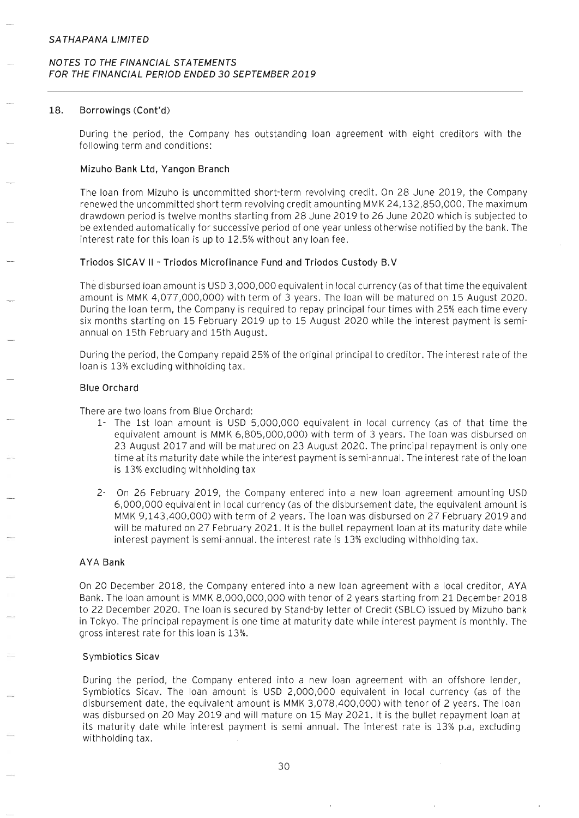## NOTES TO THE FINANCIAL STATEMENTS FOR THE FINANCIAL PERIOD ENDED 30 SEPTEMBER 2079

## 18. Borrowings(Cont'd)

During the period, the Company has outstanding loan agreement with eight creditors with the following term and conditions:

### Mizuho Bank Ltd, Yangon Branch

The loan from Mizuho is uncommitted short-term revolving credit. On 2B June 2019, the Company renewed the uncommitted short term revolving credit amounting MMK24,732,850,000. The maximum drawdown period is twelve months starting from 2B June 2019 to 26 June 2O2O which is subjected to be extended automatically for successive period of one year unless otherwise notified by the bank. The interest rate for this loan is up to 12.5% without any loan fee.

## Triodos SICAV ll - Triodos Microfinance Fund and Triodos Custody B.V

The disbursed loan amount is USD 3,000,000 equivalent in local currency (as of that time the equivalent amount is MMK 4,077,000,000) with term of 3 years. The loan will be matured on 15 August 2020. During the Ioan term, the Company is required to repay principal four times with25% each time every six months starting on 15 February 2019 up to 15 August 2020 while the interest payment is semiannual on 15th February and 15th August.

During the period, the Company repaid 25% of the original principal to creditor. The interest rate of the loan is 13% excluding withholding tax.

### Blue Orchard

There are two loans from Blue Orchard:

- 1- The 1st loan amount is USD 5,000,000 equivalent in local currency (as of that time the equivalent amount is MMK 6,805,000,000) with term of 3 years. The Ioan was disbursed on 23 August 20L7 and will be matured on 23 August 2020. The principal repayment is only one time at its maturity date while the interest payment is semi-annual. The interest rate of the loan is 13% excluding withholding tax
- 2' On 26 February 2079, the Company entered into a new loan agreement amounting USD 6,000,000 equivalent in local currency (as of the disbursement date, the equivalent amount is MMK 9,143,400,000) with term of 2 years. The loan was disbursed on 27 February 2019 and will be matured on 27 February 2021. lt is the bullet repayment loan at its maturity date while interest payment is semi-annual. the interest rate is 13% excluding withholding tax.

## AYA Bank

On 20 December 2018, the Company entered into a new Ioan agreement with a local creditor, AYA Bank. The loan amount is MMK 8,000,000,000 with tenor of 2 years starting from 21 December 2018 to 22 December 2020. The loan is secured by Stand-by letter of Credit (SBLC) issued by Mizuho bank in Tokyo. The principal repayment is one time at maturity date while interest payment is monthly. The gross interest rate for this loan is 13%.

#### Symbiotics Sicav

During the period, the Company entered into a new loan agreement with an offshore lender, Symbiotics Sicav. The loan amount is USD 2,000,000 equivalent in local currency (as of the disbursement date, the equivalent amount is MMK 3,078,400,000) with tenor of 2 years. The loan was disbursed on 20 May 2019 and will mature on 15 May 2021. It is the bullet repayment loan at its maturity date while interest payment is semi annual. The interest rate is 13% p.a, excluding withholding tax.

30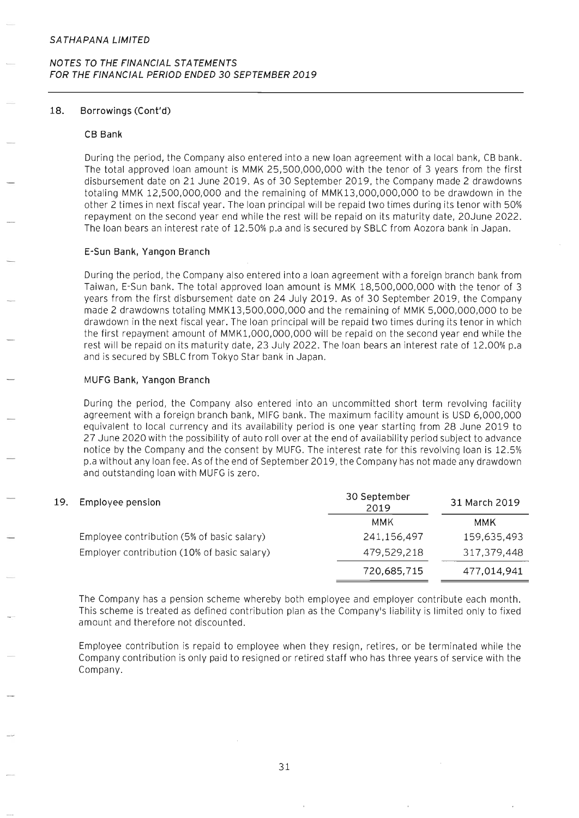## NOTES TO THE FINANCIAL STATEMENTS FOR THE FINANCIAL PERIOD ENDED 30 SEPTEMBER 2079

## 18. Borrowings(Cont'd)

## CB Bank

During the period, the Company also entered into a new loan agreement with a local bank, CB bank. The total approved loan amount is MMK 25,500,000,000 with the tenor of 3 years from the first disbursement date on 21 June 2019. As of 30 September 2019, the Company made 2 drawdowns totaling MMK 12,500,000,000 and the remaining of MMK13,000,000,000 to be drawdown in the other 2 times in next fiscal year. The loan principal will be repaid two times during its tenor with 50% repayment on the second year end while the rest will be repaid on its maturity date, 20June 2022. The loan bears an interest rate of 12.50% p.a and is secured by SBLC from Aozora bank in Japan.

#### E-Sun Bank, Yangon Branch

During the period, the Company also entered into a loan agreement with a foreign branch bank from Taiwan, E-Sun bank. The total approved loan amount is MMK 18,500,000,000 with the tenor of 3 years from the first disbursement date on 24 July 2019. As of 30 September 2019, the Company made 2 drawdowns totaling MMK13,500,000,000 and the remaining of MMK 5,000,000,000 to be drawdown in the next fiscal year. The loan principal will be repaid two times during its tenor in which the first repayment amount of MMK1,000,000,000 will be repaid on the second year end while the rest will be repaid on its maturity date,23 July 2022. The loan bears an interest rate of 12.00% p.a and is secured by SBLC from Tokyo Star bank in Japan.

### MUFG Bank, Yangon Branch

During the period, the Company also entered into an uncommitted short term revolving facility agreement with a foreign branch bank, MIFG bank. The maximum facility amount is USD 6,000,000 equivalent to local currency and its availability period is one year starting from 28 June 2019 to 27 June 2020 with the possibility of auto roll over at the end of availability period subject to advance notice by the Company and the consent by MUFG. The interest rate for this revolving loan is 12.5% p.a without any loan fee. As of the end of September 20L9, the Company has not made any drawdown and outstanding loan with MUFG is zero.

| 19. | Employee pension                            | 30 September<br>2019 | 31 March 2019 |
|-----|---------------------------------------------|----------------------|---------------|
|     |                                             | MMK                  | ммк           |
|     | Employee contribution (5% of basic salary)  | 241,156,497          | 159,635,493   |
|     | Employer contribution (10% of basic salary) | 479.529.218          | 317,379,448   |
|     |                                             | 720,685,715          | 477,014,941   |

The Company has a pension scheme whereby both employee and employer contribute each month. This scheme is treated as defined contribution plan as the Company's liability is limited only to fixed amount and therefore not discounted.

Employee contribution is repaid to employee when they resign, retires, or be terminated while the Company contribution is only paid to resigned or retired staff who has three years of service with the Company.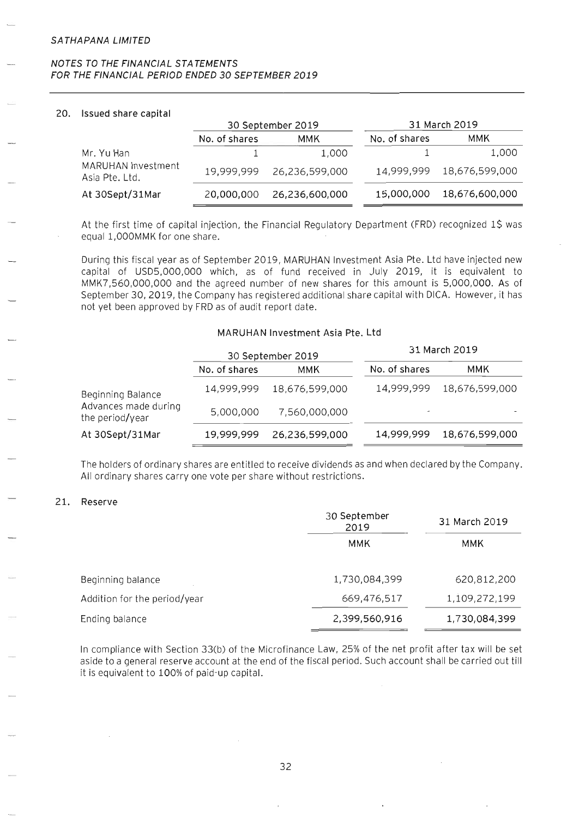## NOTES TO THE FINANCIAL STATEMENTS FOR THE FINANCIAL PERIOD ENDED 30 SEPTEMBER 2019

#### 20. Issued share capital

|                                      | 30 September 2019 |                |               | 31 March 2019  |
|--------------------------------------|-------------------|----------------|---------------|----------------|
|                                      | No. of shares     | MMK            | No. of shares | <b>MMK</b>     |
| Mr. Yu Han                           |                   | 1,000          |               | 1,000          |
| MARUHAN Investment<br>Asia Pte. Ltd. | 19,999,999        | 26,236,599,000 | 14,999,999    | 18.676.599.000 |
| At 30Sept/31Mar                      | 20,000,000        | 26,236,600,000 | 15,000,000    | 18,676,600,000 |

At the first time of capital injection, the Financial Regulatory Department (FRD) recognized 1S was equal 1,000MMK for one share.

During this fiscal year as of September 2019, MARUHAN Investment Asia Pte. Ltd have injected new capital of USD5,000,000 which, as of fund received in July 2019, it is equivalent to MMK7,560,000,000 and the agreed number of new shares for this amount is 5,000,000. As of September 30, 2019, the Company has registered additional share capital with DICA. However, it has not yet been approved by FRD as of audit report date.

## MARUHAN Investment Asia Pte. Ltd

|                                         | 30 September 2019 |                |               | 31 March 2019  |
|-----------------------------------------|-------------------|----------------|---------------|----------------|
|                                         | No. of shares     | ммк            | No. of shares | ммк            |
| Beginning Balance                       | 14,999,999        | 18,676,599,000 | 14,999,999    | 18,676,599,000 |
| Advances made during<br>the period/year | 5,000,000         | 7,560,000,000  |               |                |
| At 30Sept/31Mar                         | 19,999,999        | 26,236,599,000 | 14,999,999    | 18,676,599,000 |

The holders of ordinary shares are entitled to receive dividends as and when declared by the Company. All ordinary shares carry one vote per share without restrictions.

## 21. Reserve

|                              | 30 September<br>2019 | 31 March 2019 |  |
|------------------------------|----------------------|---------------|--|
|                              | <b>MMK</b>           | <b>MMK</b>    |  |
| Beginning balance            | 1,730,084,399        | 620,812,200   |  |
| Addition for the period/year | 669,476,517          | 1,109,272,199 |  |
| Ending balance               | 2,399,560,916        | 1,730,084,399 |  |

ln compliance with Section 33(b) of the Microfinance Law, 25% of the net profit after tax will be set aside to a general reserve account at the end of the fiscal period. Such account shall be carried out till it is equivalent to 100% of paid-up capital.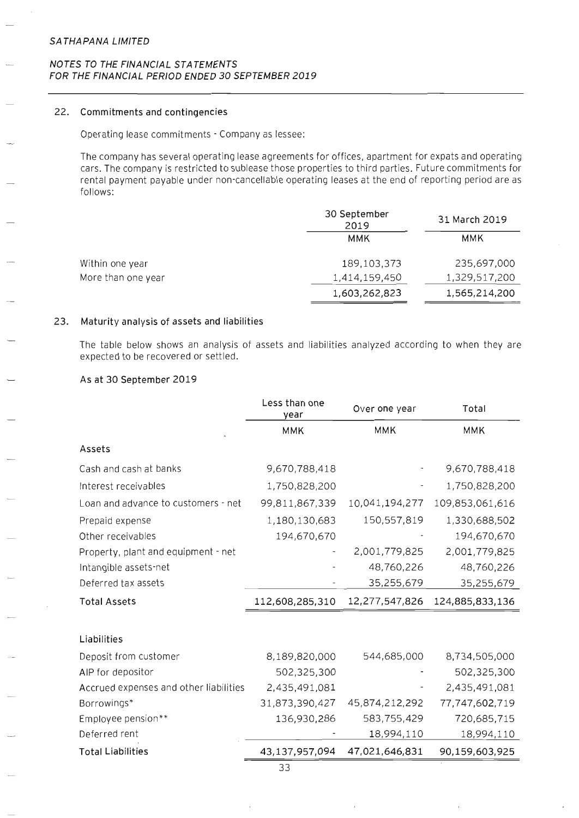## NOTES TO THE FINANCIAL STATEMENTS FOR THE FINANCIAL PERIOD ENDED 30 SEPTEMBER 2019

## 22. Commitments and contingencies

Operating lease commitments - Company as lessee:

The company has several operating lease agreements for offices, apartment for expats and operating cars. The company is restricted to sublease those properties to third parties. Future commitments for rental payment payable under non-cancellable operating leases at the end of reporting period are as follows:

|                    | 30 September<br>2019 | 31 March 2019 |  |
|--------------------|----------------------|---------------|--|
|                    | <b>MMK</b>           | ммк           |  |
| Within one year    | 189,103,373          | 235,697,000   |  |
| More than one year | 1,414,159,450        | 1,329,517,200 |  |
|                    | 1,603,262,823        | 1,565,214,200 |  |

## 23. Maturity analysis of assets and liabilities

The table below shows an analysis of assets and liabilities analyzed according to when they are expected to be recovered or settled.

## As at 30 September 2019

|                                        | Less than one<br>year | Over one year  | Total           |
|----------------------------------------|-----------------------|----------------|-----------------|
|                                        | <b>MMK</b>            | <b>MMK</b>     | <b>MMK</b>      |
| Assets                                 |                       |                |                 |
| Cash and cash at banks                 | 9,670,788,418         |                | 9,670,788,418   |
| Interest receivables                   | 1,750,828,200         |                | 1,750,828,200   |
| Loan and advance to customers - net    | 99,811,867,339        | 10,041,194,277 | 109,853,061,616 |
| Prepaid expense                        | 1,180,130,683         | 150,557,819    | 1,330,688,502   |
| Other receivables                      | 194,670,670           |                | 194,670,670     |
| Property, plant and equipment - net    |                       | 2,001,779,825  | 2,001,779,825   |
| Intangible assets-net                  |                       | 48,760,226     | 48,760,226      |
| Deferred tax assets                    |                       | 35,255,679     | 35,255,679      |
| <b>Total Assets</b>                    | 112,608,285,310       | 12,277,547,826 | 124,885,833,136 |
|                                        |                       |                |                 |
| Liabilities                            |                       |                |                 |
| Deposit from customer                  | 8,189,820,000         | 544,685,000    | 8,734,505,000   |
| AIP for depositor                      | 502,325,300           |                | 502,325,300     |
| Accrued expenses and other liabilities | 2,435,491,081         |                | 2,435,491,081   |
| Borrowings*                            | 31,873,390,427        | 45,874,212,292 | 77,747,602,719  |
| Employee pension**                     | 136,930,286           | 583,755,429    | 720,685,715     |
| Deferred rent                          |                       | 18,994,110     | 18,994,110      |
| <b>Total Liabilities</b>               | 43,137,957,094        | 47,021,646,831 | 90,159,603,925  |

33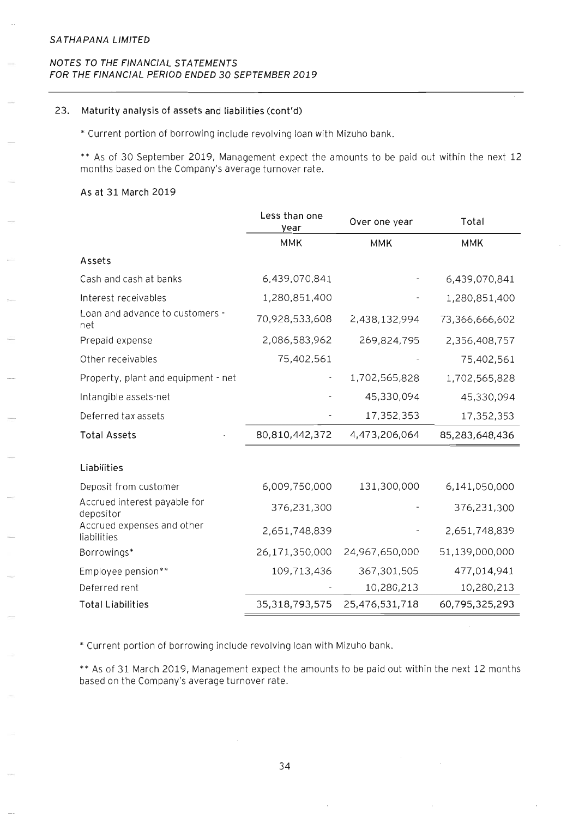## 23. Maturity analysis of assets and liabilities (cont'd)

\* Current portion of borrowing include revolving loan with Mizuho bank.

\*\* As of 30 September 2019, Management expect the amounts to be paid out within the next 12 months based on the Company's average turnover rate.

## As at 31 March 2019

|                                           | Less than one<br>year | Over one year  | Total          |
|-------------------------------------------|-----------------------|----------------|----------------|
|                                           | <b>MMK</b>            | <b>MMK</b>     | <b>MMK</b>     |
| Assets                                    |                       |                |                |
| Cash and cash at banks                    | 6,439,070,841         |                | 6,439,070,841  |
| Interest receivables                      | 1,280,851,400         |                | 1,280,851,400  |
| Loan and advance to customers -<br>net    | 70,928,533,608        | 2,438,132,994  | 73,366,666,602 |
| Prepaid expense                           | 2,086,583,962         | 269,824,795    | 2,356,408,757  |
| Other receivables                         | 75,402,561            |                | 75,402,561     |
| Property, plant and equipment - net       |                       | 1,702,565,828  | 1,702,565,828  |
| Intangible assets-net                     |                       | 45,330,094     | 45,330,094     |
| Deferred tax assets                       |                       | 17,352,353     | 17,352,353     |
| <b>Total Assets</b>                       | 80,810,442,372        | 4,473,206,064  | 85,283,648,436 |
|                                           |                       |                |                |
| Liabilities                               |                       |                |                |
| Deposit from customer                     | 6,009,750,000         | 131,300,000    | 6,141,050,000  |
| Accrued interest payable for<br>depositor | 376,231,300           |                | 376,231,300    |
| Accrued expenses and other<br>liabilities | 2,651,748,839         |                | 2,651,748,839  |
| Borrowings*                               | 26,171,350,000        | 24,967,650,000 | 51,139,000,000 |
| Employee pension**                        | 109,713,436           | 367,301,505    | 477,014,941    |
| Deferred rent                             |                       | 10,280,213     | 10,280,213     |
| <b>Total Liabilities</b>                  | 35,318,793,575        | 25,476,531,718 | 60,795,325,293 |

\* Current portion of borrowing include revolving loan with Mizuho bank.

\*\* As of 31 March 2019, Management expect the amounts to be paid out within the next 12 months based on the Company's average turnover rate.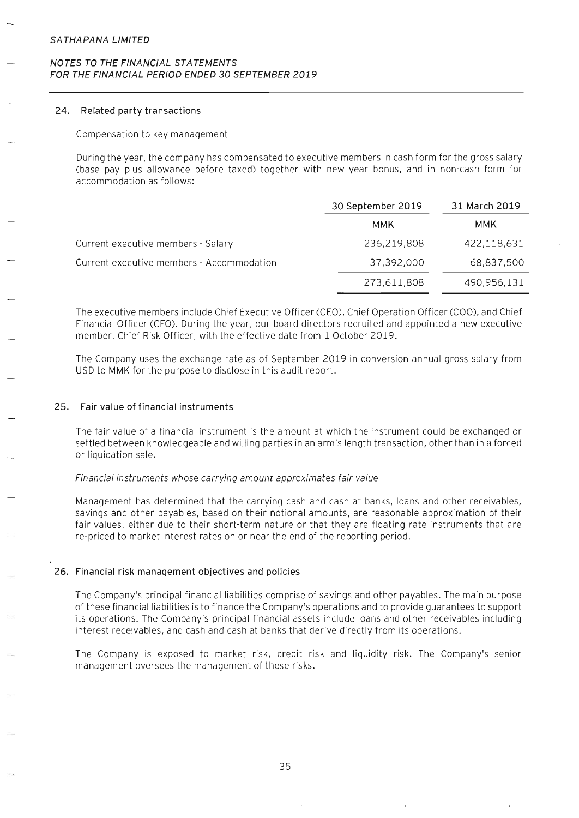## 24. Related party transactions

Compensation to key management

During the year, the company has compensated to executive members in cash form for the gross salary (base pay plus allowance before taxed) together with new year bonus, and in non-cash form for accommodation as follows:

|                                            | 30 September 2019 | 31 March 2019 |  |
|--------------------------------------------|-------------------|---------------|--|
|                                            | ммк               | <b>MMK</b>    |  |
| Current executive members - Salary         | 236,219,808       | 422,118,631   |  |
| Current executive members - Accommodation- | 37,392,000        | 68,837,500    |  |
|                                            | 273,611,808       | 490,956,131   |  |

The executive members include Chief Executive Officer (CEO), Chief Operation Officer (COO), and Chief Financial Officer (CFO). During the year, our board directors recruited and appointed a new executive member, Chief Risk Officer, with the effective date from 1 October 2019.

The Company uses the exchange rate as of September 2019 in conversion annual gross salary from USD to MMK for the purpose to disclose in this audit report.

## 25. Fair value of financial instruments

The fair value of a financial instrument is the amount at which the instrument could be exchanged or settled between knowledgeable and willing parties in an arm's length transaction, otherthan in a forced or liquidation sale.

## Financial instruments whose carrying amount approximates fair value

Management has determined that the carrying cash and cash at banks, loans and other receivables, savings and other payables, based on their notional amounts, are reasonable approximation of their fair values, either due to their short-term nature or that they are floating rate instruments that are re-priced to market interest rates on or near the end of the reporting period.

## 26. Financial risk management objectives and policies

The Company's principal financial liabilities comprise of savings and other payables. The main purpose of these financial liabilities is to finance the Company's operations and to provide guarantees to support its operations. The Company's principal financial assets include loans and other receivables including interest receivables, and cash and cash at banks that derive directly from its operations.

The Company is exposed to market risk, credit risk and liquidity risk. The Company's senior management oversees the management of these risks.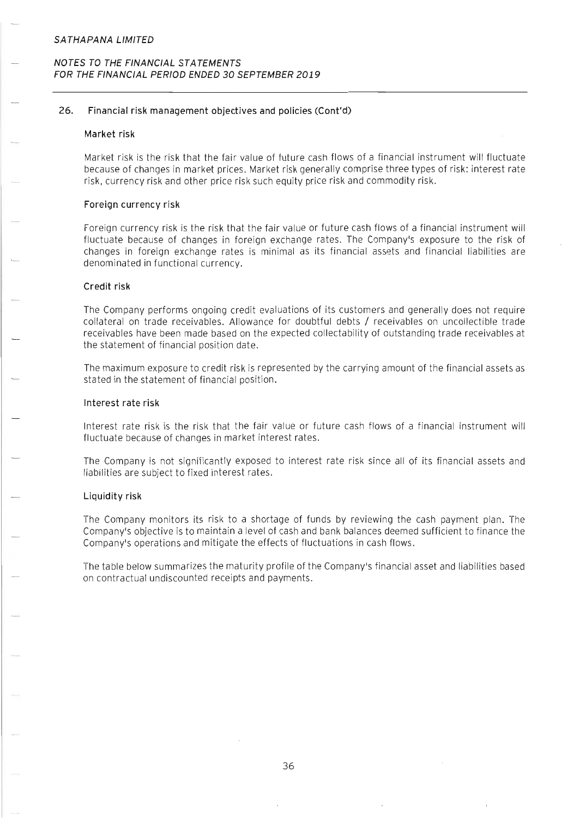## NOTES TO THE FINANCIAL STATEMENTS FOR THE FINANCIAL PERIOD ENDED 30 SEPTEMBER 2079

## 26. Financial risk management objectives and policies (Cont'd)

## Market risk

Market risk is the risk that the fair value of future cash flows of a financial instrument will fluctuate because of changes in market prices. Market risk generally comprise three types of risk: interest rate risk, currency risk and other price risk such equity price risk and commodity risk.

## Foreign currency risk

Foreign currency risk is the risk that the fair value or future cash flows of a financial instrument will fluctuate because of changes in foreign exchange rates. The Company's exposure to the risk of changes in foreign exchange rates is minimal as its financial assets and financial liabilities are denominated in functional currency.

### Credit risk

The Company performs ongoing credit evaluations of its customers and generally does not require collateral on trade receivables. Allowance for doubtful debts / receivables on uncollectible trade receivables have been made based on the expected collectability of outstanding trade receivables at the statement of financial position date.

The maximum exposure to credit risk is represented by the carrying amount of the financial assets as stated in the statement of financial position.

### Interest rate risk

lnterest rate risk is the risk that the fair value or future cash flows of a financial instrument will fluctuate because of changes in market interest rates.

The Company is not significantly exposed to interest rate risk since all of its financial assets and liabilities are subject to fixed interest rates.

## Liquidity risk

The Company monitors its risk to a shortage of funds by reviewing the cash payment plan. The Company's objective is to maintain a levelof cash and bank balances deemed sufficient to finance the Company's operations and mitigate the effects of fluctuations in cash flows.

The table below summarizes the maturity profile of the Company's financial asset and liabilities based on contractual undiscounted receipts and payments.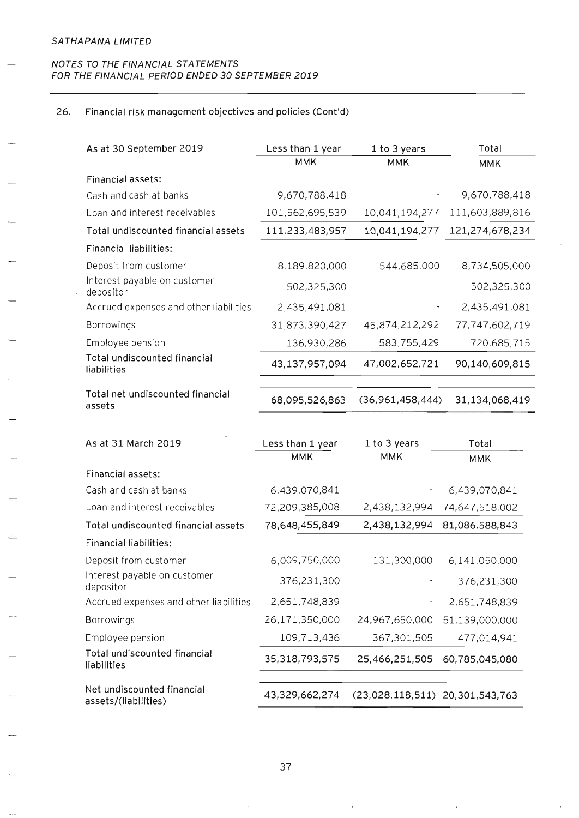## NOTES TO THE FINANCIAL STATEMENTS FOR THE FINANCIAL PERIOD ENDED 30 SEPTEMBER 2019

# 26. Financial risk management objectives and policies (Cont'd)

| As at 30 September 2019                               | Less than 1 year | 1 to 3 years                    | Total           |
|-------------------------------------------------------|------------------|---------------------------------|-----------------|
|                                                       | <b>MMK</b>       | <b>MMK</b>                      | <b>MMK</b>      |
| Financial assets:                                     |                  |                                 |                 |
| Cash and cash at banks                                | 9,670,788,418    |                                 | 9,670,788,418   |
| Loan and interest receivables                         | 101,562,695,539  | 10,041,194,277                  | 111,603,889,816 |
| Total undiscounted financial assets                   | 111,233,483,957  | 10,041,194,277                  | 121,274,678,234 |
| <b>Financial liabilities:</b>                         |                  |                                 |                 |
| Deposit from customer                                 | 8,189,820,000    | 544,685,000                     | 8,734,505,000   |
| Interest payable on customer<br>depositor             | 502,325,300      |                                 | 502,325,300     |
| Accrued expenses and other liabilities                | 2,435,491,081    |                                 | 2,435,491,081   |
| Borrowings                                            | 31,873,390,427   | 45,874,212,292                  | 77,747,602,719  |
| Employee pension                                      | 136,930,286      | 583,755,429                     | 720,685,715     |
| Total undiscounted financial<br>liabilities           | 43,137,957,094   | 47,002,652,721                  | 90,140,609,815  |
| Total net undiscounted financial<br>assets            | 68,095,526,863   | (36, 961, 458, 444)             | 31,134,068,419  |
| As at 31 March 2019                                   | Less than 1 year | 1 to 3 years                    | Total           |
|                                                       | <b>MMK</b>       | <b>MMK</b>                      | <b>MMK</b>      |
| Financial assets:                                     |                  |                                 |                 |
| Cash and cash at banks                                | 6,439,070,841    |                                 | 6,439,070,841   |
| Loan and interest receivables                         | 72,209,385,008   | 2,438,132,994                   | 74,647,518,002  |
| Total undiscounted financial assets                   | 78,648,455,849   | 2,438,132,994                   | 81,086,588,843  |
| <b>Financial liabilities:</b>                         |                  |                                 |                 |
| Deposit from customer<br>Interest payable on customer | 6,009,750,000    | 131,300,000                     | 6,141,050,000   |
| depositor                                             | 376,231,300      |                                 | 376,231,300     |
| Accrued expenses and other liabilities                | 2,651,748,839    |                                 | 2,651,748,839   |
| <b>Borrowings</b>                                     | 26,171,350,000   | 24,967,650,000                  | 51,139,000,000  |
| Employee pension                                      | 109,713,436      | 367,301,505                     | 477,014,941     |
| Total undiscounted financial<br>liabilities           | 35,318,793,575   | 25,466,251,505                  | 60,785,045,080  |
| Net undiscounted financial                            |                  |                                 |                 |
| assets/(liabilities)                                  | 43,329,662,274   | (23,028,118,511) 20,301,543,763 |                 |